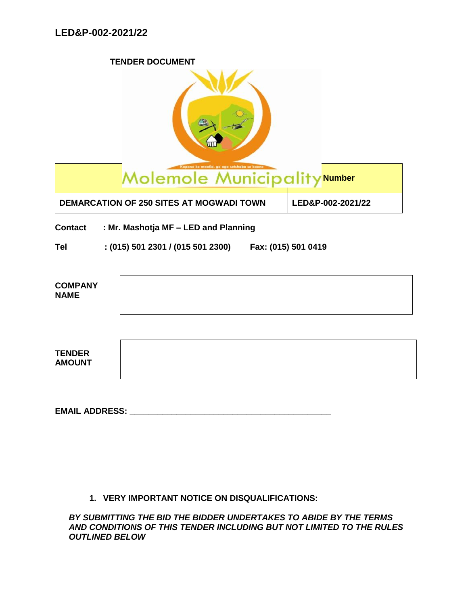**TENDER DOCUMENT**

|                                | Molemole Municipality Number                           |                   |
|--------------------------------|--------------------------------------------------------|-------------------|
|                                | <b>DEMARCATION OF 250 SITES AT MOGWADI TOWN</b>        | LED&P-002-2021/22 |
| <b>Contact</b>                 | : Mr. Mashotja MF - LED and Planning                   |                   |
| <b>Tel</b>                     | $:(015)$ 501 2301 / (015 501 2300) Fax: (015) 501 0419 |                   |
| <b>COMPANY</b><br><b>NAME</b>  |                                                        |                   |
| <b>TENDER</b><br><b>AMOUNT</b> |                                                        |                   |
| <b>EMAIL ADDRESS:</b>          |                                                        |                   |

**1. VERY IMPORTANT NOTICE ON DISQUALIFICATIONS:**

*BY SUBMITTING THE BID THE BIDDER UNDERTAKES TO ABIDE BY THE TERMS AND CONDITIONS OF THIS TENDER INCLUDING BUT NOT LIMITED TO THE RULES OUTLINED BELOW*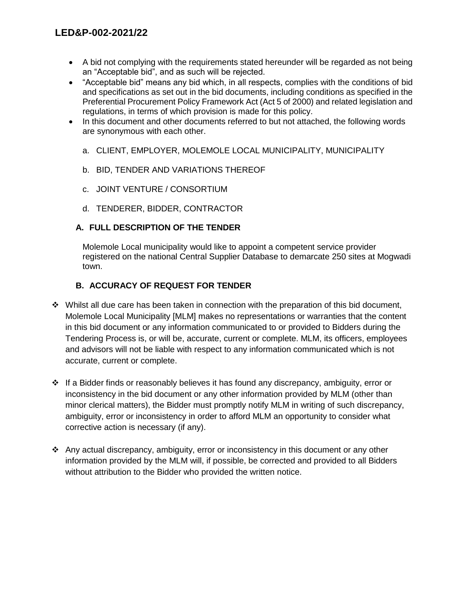- A bid not complying with the requirements stated hereunder will be regarded as not being an "Acceptable bid", and as such will be rejected.
- "Acceptable bid" means any bid which, in all respects, complies with the conditions of bid and specifications as set out in the bid documents, including conditions as specified in the Preferential Procurement Policy Framework Act (Act 5 of 2000) and related legislation and regulations, in terms of which provision is made for this policy.
- In this document and other documents referred to but not attached, the following words are synonymous with each other.
	- a. CLIENT, EMPLOYER, MOLEMOLE LOCAL MUNICIPALITY, MUNICIPALITY
	- b. BID, TENDER AND VARIATIONS THEREOF
	- c. JOINT VENTURE / CONSORTIUM
	- d. TENDERER, BIDDER, CONTRACTOR

## **A. FULL DESCRIPTION OF THE TENDER**

Molemole Local municipality would like to appoint a competent service provider registered on the national Central Supplier Database to demarcate 250 sites at Mogwadi town.

# **B. ACCURACY OF REQUEST FOR TENDER**

- $\cdot \cdot$  Whilst all due care has been taken in connection with the preparation of this bid document, Molemole Local Municipality [MLM] makes no representations or warranties that the content in this bid document or any information communicated to or provided to Bidders during the Tendering Process is, or will be, accurate, current or complete. MLM, its officers, employees and advisors will not be liable with respect to any information communicated which is not accurate, current or complete.
- If a Bidder finds or reasonably believes it has found any discrepancy, ambiguity, error or inconsistency in the bid document or any other information provided by MLM (other than minor clerical matters), the Bidder must promptly notify MLM in writing of such discrepancy, ambiguity, error or inconsistency in order to afford MLM an opportunity to consider what corrective action is necessary (if any).
- Any actual discrepancy, ambiguity, error or inconsistency in this document or any other information provided by the MLM will, if possible, be corrected and provided to all Bidders without attribution to the Bidder who provided the written notice.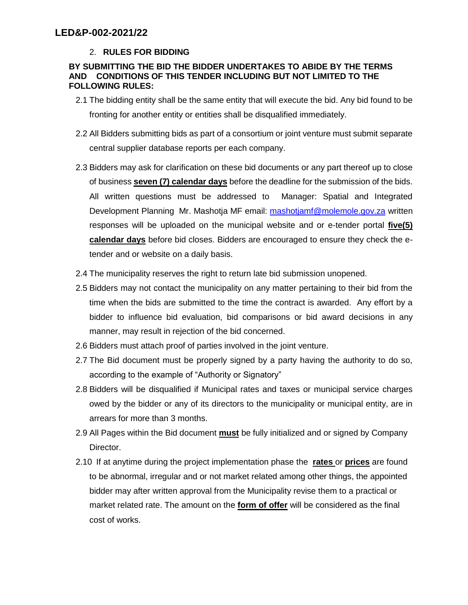# 2. **RULES FOR BIDDING**

#### **BY SUBMITTING THE BID THE BIDDER UNDERTAKES TO ABIDE BY THE TERMS AND CONDITIONS OF THIS TENDER INCLUDING BUT NOT LIMITED TO THE FOLLOWING RULES:**

- 2.1 The bidding entity shall be the same entity that will execute the bid. Any bid found to be fronting for another entity or entities shall be disqualified immediately.
- 2.2 All Bidders submitting bids as part of a consortium or joint venture must submit separate central supplier database reports per each company.
- 2.3 Bidders may ask for clarification on these bid documents or any part thereof up to close of business **seven (7) calendar days** before the deadline for the submission of the bids. All written questions must be addressed to Manager: Spatial and Integrated Development Planning Mr. Mashotja MF email: [mashotjamf@molemole.gov.za](mailto:mashotjamf@molemole.gov.za) written responses will be uploaded on the municipal website and or e-tender portal **five(5) calendar days** before bid closes. Bidders are encouraged to ensure they check the etender and or website on a daily basis.
- 2.4 The municipality reserves the right to return late bid submission unopened.
- 2.5 Bidders may not contact the municipality on any matter pertaining to their bid from the time when the bids are submitted to the time the contract is awarded. Any effort by a bidder to influence bid evaluation, bid comparisons or bid award decisions in any manner, may result in rejection of the bid concerned.
- 2.6 Bidders must attach proof of parties involved in the joint venture.
- 2.7 The Bid document must be properly signed by a party having the authority to do so, according to the example of "Authority or Signatory"
- 2.8 Bidders will be disqualified if Municipal rates and taxes or municipal service charges owed by the bidder or any of its directors to the municipality or municipal entity, are in arrears for more than 3 months.
- 2.9 All Pages within the Bid document **must** be fully initialized and or signed by Company Director.
- 2.10 If at anytime during the project implementation phase the **rates** or **prices** are found to be abnormal, irregular and or not market related among other things, the appointed bidder may after written approval from the Municipality revise them to a practical or market related rate. The amount on the **form of offer** will be considered as the final cost of works.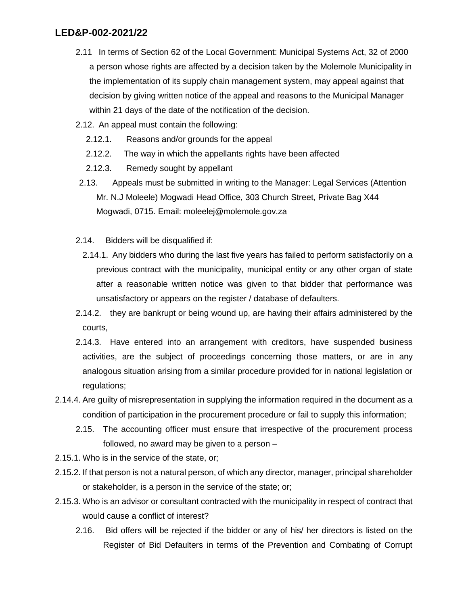- 2.11 In terms of Section 62 of the Local Government: Municipal Systems Act, 32 of 2000 a person whose rights are affected by a decision taken by the Molemole Municipality in the implementation of its supply chain management system, may appeal against that decision by giving written notice of the appeal and reasons to the Municipal Manager within 21 days of the date of the notification of the decision.
- 2.12. An appeal must contain the following:
	- 2.12.1. Reasons and/or grounds for the appeal
	- 2.12.2. The way in which the appellants rights have been affected
	- 2.12.3. Remedy sought by appellant
- 2.13. Appeals must be submitted in writing to the Manager: Legal Services (Attention Mr. N.J Moleele) Mogwadi Head Office, 303 Church Street, Private Bag X44 Mogwadi, 0715. Email: moleelej@molemole.gov.za
- 2.14. Bidders will be disqualified if:
	- 2.14.1. Any bidders who during the last five years has failed to perform satisfactorily on a previous contract with the municipality, municipal entity or any other organ of state after a reasonable written notice was given to that bidder that performance was unsatisfactory or appears on the register / database of defaulters.
- 2.14.2. they are bankrupt or being wound up, are having their affairs administered by the courts,
- 2.14.3. Have entered into an arrangement with creditors, have suspended business activities, are the subject of proceedings concerning those matters, or are in any analogous situation arising from a similar procedure provided for in national legislation or regulations;
- 2.14.4. Are guilty of misrepresentation in supplying the information required in the document as a condition of participation in the procurement procedure or fail to supply this information;
	- 2.15. The accounting officer must ensure that irrespective of the procurement process followed, no award may be given to a person –
- 2.15.1. Who is in the service of the state, or;
- 2.15.2. If that person is not a natural person, of which any director, manager, principal shareholder or stakeholder, is a person in the service of the state; or;
- 2.15.3. Who is an advisor or consultant contracted with the municipality in respect of contract that would cause a conflict of interest?
	- 2.16. Bid offers will be rejected if the bidder or any of his/ her directors is listed on the Register of Bid Defaulters in terms of the Prevention and Combating of Corrupt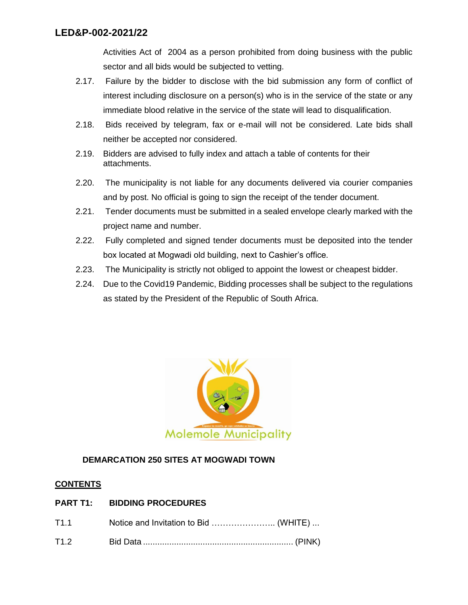Activities Act of 2004 as a person prohibited from doing business with the public sector and all bids would be subjected to vetting.

- 2.17. Failure by the bidder to disclose with the bid submission any form of conflict of interest including disclosure on a person(s) who is in the service of the state or any immediate blood relative in the service of the state will lead to disqualification.
- 2.18. Bids received by telegram, fax or e-mail will not be considered. Late bids shall neither be accepted nor considered.
- 2.19. Bidders are advised to fully index and attach a table of contents for their attachments.
- 2.20. The municipality is not liable for any documents delivered via courier companies and by post. No official is going to sign the receipt of the tender document.
- 2.21. Tender documents must be submitted in a sealed envelope clearly marked with the project name and number.
- 2.22. Fully completed and signed tender documents must be deposited into the tender box located at Mogwadi old building, next to Cashier's office.
- 2.23. The Municipality is strictly not obliged to appoint the lowest or cheapest bidder.
- 2.24. Due to the Covid19 Pandemic, Bidding processes shall be subject to the regulations as stated by the President of the Republic of South Africa.



# **DEMARCATION 250 SITES AT MOGWADI TOWN**

#### **CONTENTS**

# **PART T1: BIDDING PROCEDURES**

| T1.1 |  |
|------|--|
| T1.2 |  |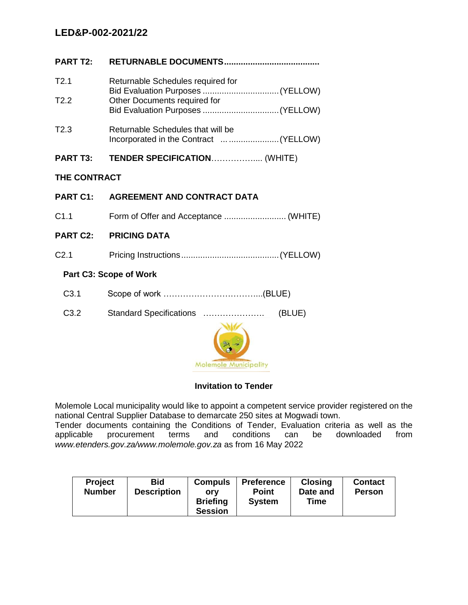| <b>PART T2:</b>               |                                                                              |  |  |  |  |
|-------------------------------|------------------------------------------------------------------------------|--|--|--|--|
| T2.1                          | Returnable Schedules required for                                            |  |  |  |  |
| T2.2                          | Other Documents required for                                                 |  |  |  |  |
| T2.3                          | Returnable Schedules that will be<br>Incorporated in the Contract   (YELLOW) |  |  |  |  |
| <b>PART T3:</b>               | TENDER SPECIFICATION (WHITE)                                                 |  |  |  |  |
| <b>THE CONTRACT</b>           |                                                                              |  |  |  |  |
| <b>PART C1:</b>               | <b>AGREEMENT AND CONTRACT DATA</b>                                           |  |  |  |  |
| C1.1                          |                                                                              |  |  |  |  |
| <b>PART C2:</b>               | <b>PRICING DATA</b>                                                          |  |  |  |  |
| C <sub>2.1</sub>              |                                                                              |  |  |  |  |
| <b>Part C3: Scope of Work</b> |                                                                              |  |  |  |  |
| C <sub>3.1</sub>              |                                                                              |  |  |  |  |
| C <sub>3.2</sub>              | (BLUE)<br>Standard Specifications                                            |  |  |  |  |
|                               |                                                                              |  |  |  |  |

#### **Invitation to Tender**

**Molemole Municipality** 

Molemole Local municipality would like to appoint a competent service provider registered on the national Central Supplier Database to demarcate 250 sites at Mogwadi town. Tender documents containing the Conditions of Tender, Evaluation criteria as well as the

applicable procurement terms and conditions can be downloaded from *www.etenders.gov.za/www.molemole.gov.za* as from 16 May 2022

| <b>Project</b><br><b>Number</b> | <b>Bid</b><br><b>Description</b> | <b>Compuls</b><br>orv<br><b>Briefing</b><br><b>Session</b> | <b>Preference</b><br><b>Point</b><br><b>System</b> | <b>Closing</b><br>Date and<br>Time | <b>Contact</b><br><b>Person</b> |
|---------------------------------|----------------------------------|------------------------------------------------------------|----------------------------------------------------|------------------------------------|---------------------------------|
|---------------------------------|----------------------------------|------------------------------------------------------------|----------------------------------------------------|------------------------------------|---------------------------------|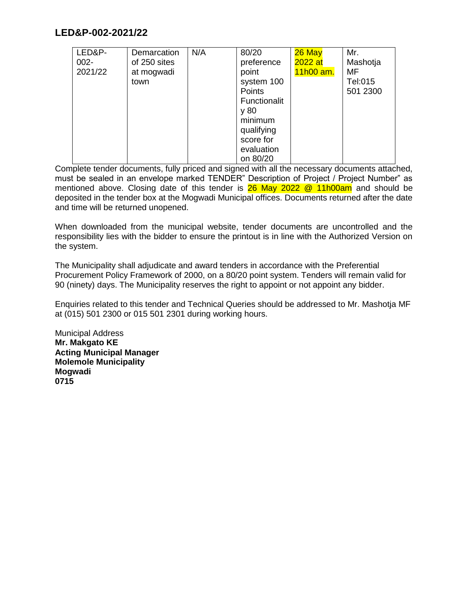| LED&P-  | Demarcation  | N/A | 80/20        | 26 May    | Mr.      |
|---------|--------------|-----|--------------|-----------|----------|
| $002 -$ | of 250 sites |     | preference   | 2022 at   | Mashotja |
| 2021/22 | at mogwadi   |     | point        | 11h00 am. | MF       |
|         | town         |     | system 100   |           | Tel:015  |
|         |              |     | Points       |           | 501 2300 |
|         |              |     | Functionalit |           |          |
|         |              |     | y 80         |           |          |
|         |              |     | minimum      |           |          |
|         |              |     | qualifying   |           |          |
|         |              |     | score for    |           |          |
|         |              |     | evaluation   |           |          |
|         |              |     | on 80/20     |           |          |

Complete tender documents, fully priced and signed with all the necessary documents attached, must be sealed in an envelope marked TENDER" Description of Project / Project Number" as mentioned above. Closing date of this tender is  $26$  May  $2022$  @ 11h00am and should be deposited in the tender box at the Mogwadi Municipal offices. Documents returned after the date and time will be returned unopened.

When downloaded from the municipal website, tender documents are uncontrolled and the responsibility lies with the bidder to ensure the printout is in line with the Authorized Version on the system.

The Municipality shall adjudicate and award tenders in accordance with the Preferential Procurement Policy Framework of 2000, on a 80/20 point system. Tenders will remain valid for 90 (ninety) days. The Municipality reserves the right to appoint or not appoint any bidder.

Enquiries related to this tender and Technical Queries should be addressed to Mr. Mashotja MF at (015) 501 2300 or 015 501 2301 during working hours.

Municipal Address **Mr. Makgato KE Acting Municipal Manager Molemole Municipality Mogwadi 0715**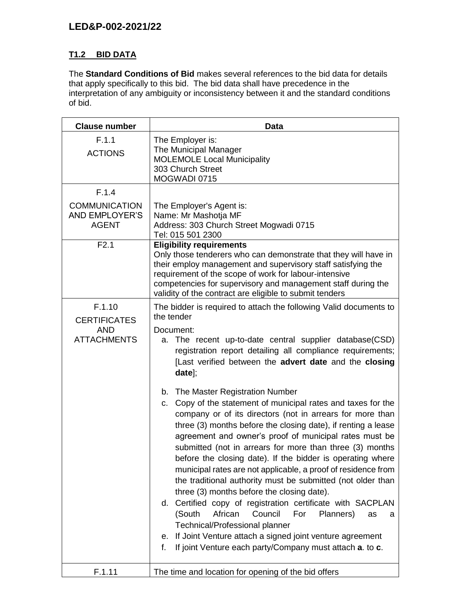# **T1.2 BID DATA**

The **Standard Conditions of Bid** makes several references to the bid data for details that apply specifically to this bid. The bid data shall have precedence in the interpretation of any ambiguity or inconsistency between it and the standard conditions of bid.

| <b>Clause number</b>                                              | <b>Data</b>                                                                                                                                                                                                                                                                                                                                                                                                                                                                                                                                                                                                                                                                                                                                                                                                                                                                                                       |  |  |  |  |
|-------------------------------------------------------------------|-------------------------------------------------------------------------------------------------------------------------------------------------------------------------------------------------------------------------------------------------------------------------------------------------------------------------------------------------------------------------------------------------------------------------------------------------------------------------------------------------------------------------------------------------------------------------------------------------------------------------------------------------------------------------------------------------------------------------------------------------------------------------------------------------------------------------------------------------------------------------------------------------------------------|--|--|--|--|
| F.1.1<br><b>ACTIONS</b>                                           | The Employer is:<br>The Municipal Manager<br><b>MOLEMOLE Local Municipality</b><br>303 Church Street<br>MOGWADI 0715                                                                                                                                                                                                                                                                                                                                                                                                                                                                                                                                                                                                                                                                                                                                                                                              |  |  |  |  |
| F.1.4                                                             |                                                                                                                                                                                                                                                                                                                                                                                                                                                                                                                                                                                                                                                                                                                                                                                                                                                                                                                   |  |  |  |  |
| <b>COMMUNICATION</b><br><b>AND EMPLOYER'S</b><br><b>AGENT</b>     | The Employer's Agent is:<br>Name: Mr Mashotja MF<br>Address: 303 Church Street Mogwadi 0715<br>Tel: 015 501 2300                                                                                                                                                                                                                                                                                                                                                                                                                                                                                                                                                                                                                                                                                                                                                                                                  |  |  |  |  |
| F2.1                                                              | <b>Eligibility requirements</b><br>Only those tenderers who can demonstrate that they will have in<br>their employ management and supervisory staff satisfying the<br>requirement of the scope of work for labour-intensive<br>competencies for supervisory and management staff during the<br>validity of the contract are eligible to submit tenders                                                                                                                                                                                                                                                                                                                                                                                                                                                                                                                                                            |  |  |  |  |
| F.1.10<br><b>CERTIFICATES</b><br><b>AND</b><br><b>ATTACHMENTS</b> | The bidder is required to attach the following Valid documents to<br>the tender<br>Document:<br>a. The recent up-to-date central supplier database(CSD)<br>registration report detailing all compliance requirements;<br>[Last verified between the advert date and the closing                                                                                                                                                                                                                                                                                                                                                                                                                                                                                                                                                                                                                                   |  |  |  |  |
|                                                                   | $data$ ;<br>b. The Master Registration Number<br>c. Copy of the statement of municipal rates and taxes for the<br>company or of its directors (not in arrears for more than<br>three (3) months before the closing date), if renting a lease<br>agreement and owner's proof of municipal rates must be<br>submitted (not in arrears for more than three (3) months<br>before the closing date). If the bidder is operating where<br>municipal rates are not applicable, a proof of residence from<br>the traditional authority must be submitted (not older than<br>three (3) months before the closing date).<br>d. Certified copy of registration certificate with SACPLAN<br>(South<br>African<br>Council<br>For<br>Planners)<br>as<br>a<br>Technical/Professional planner<br>If Joint Venture attach a signed joint venture agreement<br>е.<br>If joint Venture each party/Company must attach a. to c.<br>f. |  |  |  |  |
| F.1.11                                                            | The time and location for opening of the bid offers                                                                                                                                                                                                                                                                                                                                                                                                                                                                                                                                                                                                                                                                                                                                                                                                                                                               |  |  |  |  |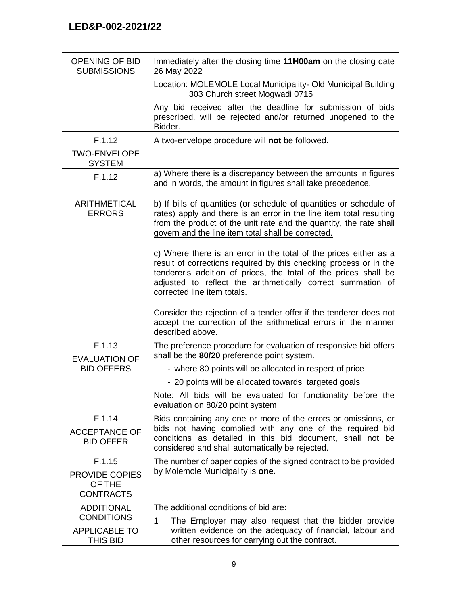| <b>OPENING OF BID</b><br><b>SUBMISSIONS</b>         | Immediately after the closing time 11H00am on the closing date<br>26 May 2022                                                                                                                                                                                                                           |  |  |  |
|-----------------------------------------------------|---------------------------------------------------------------------------------------------------------------------------------------------------------------------------------------------------------------------------------------------------------------------------------------------------------|--|--|--|
|                                                     | Location: MOLEMOLE Local Municipality- Old Municipal Building<br>303 Church street Mogwadi 0715                                                                                                                                                                                                         |  |  |  |
|                                                     | Any bid received after the deadline for submission of bids<br>prescribed, will be rejected and/or returned unopened to the<br>Bidder.                                                                                                                                                                   |  |  |  |
| F.1.12                                              | A two-envelope procedure will not be followed.                                                                                                                                                                                                                                                          |  |  |  |
| <b>TWO-ENVELOPE</b><br><b>SYSTEM</b>                |                                                                                                                                                                                                                                                                                                         |  |  |  |
| F.1.12                                              | a) Where there is a discrepancy between the amounts in figures<br>and in words, the amount in figures shall take precedence.                                                                                                                                                                            |  |  |  |
| ARITHMETICAL<br><b>ERRORS</b>                       | b) If bills of quantities (or schedule of quantities or schedule of<br>rates) apply and there is an error in the line item total resulting<br>from the product of the unit rate and the quantity, the rate shall<br>govern and the line item total shall be corrected.                                  |  |  |  |
|                                                     | c) Where there is an error in the total of the prices either as a<br>result of corrections required by this checking process or in the<br>tenderer's addition of prices, the total of the prices shall be<br>adjusted to reflect the arithmetically correct summation of<br>corrected line item totals. |  |  |  |
|                                                     | Consider the rejection of a tender offer if the tenderer does not<br>accept the correction of the arithmetical errors in the manner<br>described above.                                                                                                                                                 |  |  |  |
| F.1.13<br><b>EVALUATION OF</b>                      | The preference procedure for evaluation of responsive bid offers<br>shall be the 80/20 preference point system.                                                                                                                                                                                         |  |  |  |
| <b>BID OFFERS</b>                                   | - where 80 points will be allocated in respect of price                                                                                                                                                                                                                                                 |  |  |  |
|                                                     | - 20 points will be allocated towards targeted goals                                                                                                                                                                                                                                                    |  |  |  |
|                                                     | Note: All bids will be evaluated for functionality before the<br>evaluation on 80/20 point system                                                                                                                                                                                                       |  |  |  |
| F.1.14<br><b>ACCEPTANCE OF</b><br><b>BID OFFER</b>  | Bids containing any one or more of the errors or omissions, or<br>bids not having complied with any one of the required bid<br>conditions as detailed in this bid document, shall not be<br>considered and shall automatically be rejected.                                                             |  |  |  |
| F.1.15                                              | The number of paper copies of the signed contract to be provided<br>by Molemole Municipality is one.                                                                                                                                                                                                    |  |  |  |
| <b>PROVIDE COPIES</b><br>OF THE<br><b>CONTRACTS</b> |                                                                                                                                                                                                                                                                                                         |  |  |  |
| <b>ADDITIONAL</b>                                   | The additional conditions of bid are:                                                                                                                                                                                                                                                                   |  |  |  |
| <b>CONDITIONS</b>                                   | 1<br>The Employer may also request that the bidder provide                                                                                                                                                                                                                                              |  |  |  |
| <b>APPLICABLE TO</b><br>THIS BID                    | written evidence on the adequacy of financial, labour and<br>other resources for carrying out the contract.                                                                                                                                                                                             |  |  |  |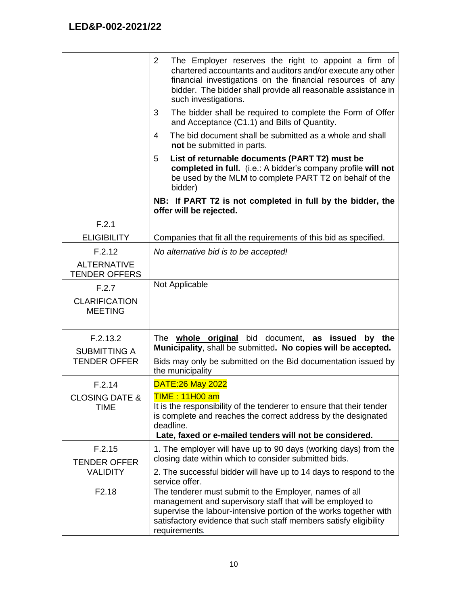|                                                        | $\overline{2}$<br>The Employer reserves the right to appoint a firm of<br>chartered accountants and auditors and/or execute any other<br>financial investigations on the financial resources of any<br>bidder. The bidder shall provide all reasonable assistance in<br>such investigations. |
|--------------------------------------------------------|----------------------------------------------------------------------------------------------------------------------------------------------------------------------------------------------------------------------------------------------------------------------------------------------|
|                                                        | The bidder shall be required to complete the Form of Offer<br>3<br>and Acceptance (C1.1) and Bills of Quantity.                                                                                                                                                                              |
|                                                        | The bid document shall be submitted as a whole and shall<br>4<br>not be submitted in parts.                                                                                                                                                                                                  |
|                                                        | 5<br>List of returnable documents (PART T2) must be<br>completed in full. (i.e.: A bidder's company profile will not<br>be used by the MLM to complete PART T2 on behalf of the<br>bidder)                                                                                                   |
|                                                        | NB: If PART T2 is not completed in full by the bidder, the<br>offer will be rejected.                                                                                                                                                                                                        |
| F.2.1                                                  |                                                                                                                                                                                                                                                                                              |
| <b>ELIGIBILITY</b>                                     | Companies that fit all the requirements of this bid as specified.                                                                                                                                                                                                                            |
| F.2.12                                                 | No alternative bid is to be accepted!                                                                                                                                                                                                                                                        |
| <b>ALTERNATIVE</b><br><b>TENDER OFFERS</b>             |                                                                                                                                                                                                                                                                                              |
| F.2.7                                                  | Not Applicable                                                                                                                                                                                                                                                                               |
| <b>CLARIFICATION</b><br><b>MEETING</b>                 |                                                                                                                                                                                                                                                                                              |
| F.2.13.2<br><b>SUBMITTING A</b><br><b>TENDER OFFER</b> | The whole original bid document, as issued<br>by<br>the<br>Municipality, shall be submitted. No copies will be accepted.<br>Bids may only be submitted on the Bid documentation issued by                                                                                                    |
|                                                        | the municipality                                                                                                                                                                                                                                                                             |
| F.2.14                                                 | <b>DATE:26 May 2022</b>                                                                                                                                                                                                                                                                      |
| <b>CLOSING DATE &amp;</b><br><b>TIME</b>               | <b>TIME: 11H00 am</b><br>It is the responsibility of the tenderer to ensure that their tender<br>is complete and reaches the correct address by the designated<br>deadline.<br>Late, faxed or e-mailed tenders will not be considered.                                                       |
| F.2.15                                                 | 1. The employer will have up to 90 days (working days) from the                                                                                                                                                                                                                              |
| <b>TENDER OFFER</b>                                    | closing date within which to consider submitted bids.                                                                                                                                                                                                                                        |
| <b>VALIDITY</b>                                        | 2. The successful bidder will have up to 14 days to respond to the<br>service offer.                                                                                                                                                                                                         |
| F <sub>2.18</sub>                                      | The tenderer must submit to the Employer, names of all<br>management and supervisory staff that will be employed to<br>supervise the labour-intensive portion of the works together with<br>satisfactory evidence that such staff members satisfy eligibility<br>requirements.               |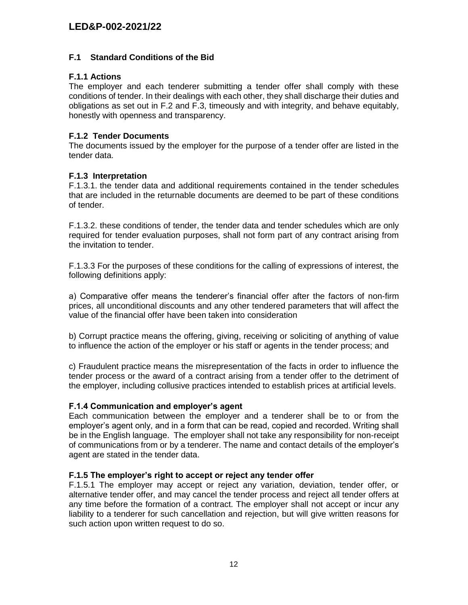#### **F.1 Standard Conditions of the Bid**

#### **F.1.1 Actions**

The employer and each tenderer submitting a tender offer shall comply with these conditions of tender. In their dealings with each other, they shall discharge their duties and obligations as set out in F.2 and F.3, timeously and with integrity, and behave equitably, honestly with openness and transparency.

#### **F.1.2 Tender Documents**

The documents issued by the employer for the purpose of a tender offer are listed in the tender data.

#### **F.1.3 Interpretation**

F.1.3.1. the tender data and additional requirements contained in the tender schedules that are included in the returnable documents are deemed to be part of these conditions of tender.

F.1.3.2. these conditions of tender, the tender data and tender schedules which are only required for tender evaluation purposes, shall not form part of any contract arising from the invitation to tender.

F.1.3.3 For the purposes of these conditions for the calling of expressions of interest, the following definitions apply:

a) Comparative offer means the tenderer's financial offer after the factors of non-firm prices, all unconditional discounts and any other tendered parameters that will affect the value of the financial offer have been taken into consideration

b) Corrupt practice means the offering, giving, receiving or soliciting of anything of value to influence the action of the employer or his staff or agents in the tender process; and

c) Fraudulent practice means the misrepresentation of the facts in order to influence the tender process or the award of a contract arising from a tender offer to the detriment of the employer, including collusive practices intended to establish prices at artificial levels.

#### **F.1.4 Communication and employer's agent**

Each communication between the employer and a tenderer shall be to or from the employer's agent only, and in a form that can be read, copied and recorded. Writing shall be in the English language. The employer shall not take any responsibility for non-receipt of communications from or by a tenderer. The name and contact details of the employer's agent are stated in the tender data.

#### **F.1.5 The employer's right to accept or reject any tender offer**

F.1.5.1 The employer may accept or reject any variation, deviation, tender offer, or alternative tender offer, and may cancel the tender process and reject all tender offers at any time before the formation of a contract. The employer shall not accept or incur any liability to a tenderer for such cancellation and rejection, but will give written reasons for such action upon written request to do so.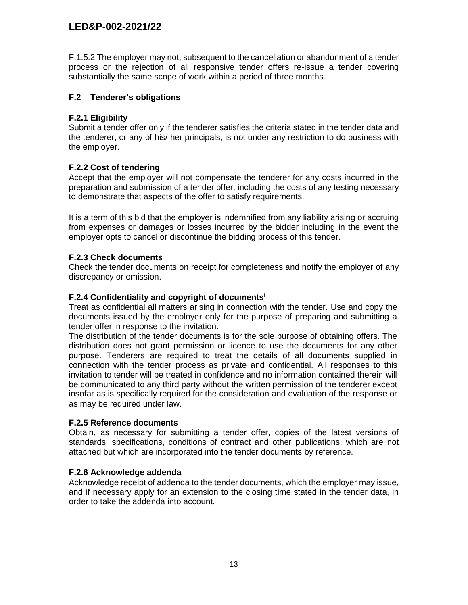F.1.5.2 The employer may not, subsequent to the cancellation or abandonment of a tender process or the rejection of all responsive tender offers re-issue a tender covering substantially the same scope of work within a period of three months.

## **F.2 Tenderer's obligations**

## **F.2.1 Eligibility**

Submit a tender offer only if the tenderer satisfies the criteria stated in the tender data and the tenderer, or any of his/ her principals, is not under any restriction to do business with the employer.

## **F.2.2 Cost of tendering**

Accept that the employer will not compensate the tenderer for any costs incurred in the preparation and submission of a tender offer, including the costs of any testing necessary to demonstrate that aspects of the offer to satisfy requirements.

It is a term of this bid that the employer is indemnified from any liability arising or accruing from expenses or damages or losses incurred by the bidder including in the event the employer opts to cancel or discontinue the bidding process of this tender.

## **F.2.3 Check documents**

Check the tender documents on receipt for completeness and notify the employer of any discrepancy or omission.

#### **F.2.4 Confidentiality and copyright of documents<sup>i</sup>**

Treat as confidential all matters arising in connection with the tender. Use and copy the documents issued by the employer only for the purpose of preparing and submitting a tender offer in response to the invitation.

The distribution of the tender documents is for the sole purpose of obtaining offers. The distribution does not grant permission or licence to use the documents for any other purpose. Tenderers are required to treat the details of all documents supplied in connection with the tender process as private and confidential. All responses to this invitation to tender will be treated in confidence and no information contained therein will be communicated to any third party without the written permission of the tenderer except insofar as is specifically required for the consideration and evaluation of the response or as may be required under law.

#### **F.2.5 Reference documents**

Obtain, as necessary for submitting a tender offer, copies of the latest versions of standards, specifications, conditions of contract and other publications, which are not attached but which are incorporated into the tender documents by reference.

#### **F.2.6 Acknowledge addenda**

Acknowledge receipt of addenda to the tender documents, which the employer may issue, and if necessary apply for an extension to the closing time stated in the tender data, in order to take the addenda into account.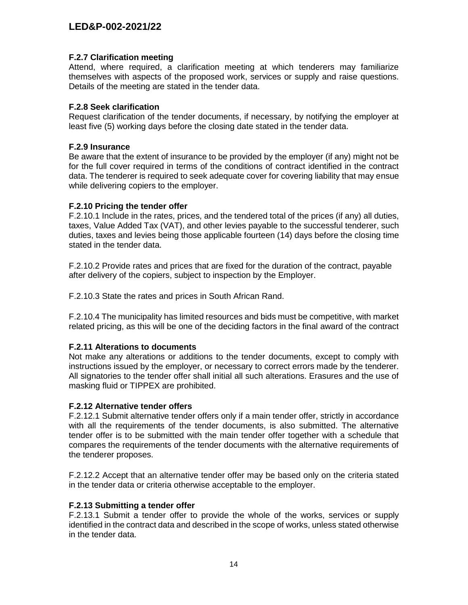#### **F.2.7 Clarification meeting**

Attend, where required, a clarification meeting at which tenderers may familiarize themselves with aspects of the proposed work, services or supply and raise questions. Details of the meeting are stated in the tender data.

#### **F.2.8 Seek clarification**

Request clarification of the tender documents, if necessary, by notifying the employer at least five (5) working days before the closing date stated in the tender data.

#### **F.2.9 Insurance**

Be aware that the extent of insurance to be provided by the employer (if any) might not be for the full cover required in terms of the conditions of contract identified in the contract data. The tenderer is required to seek adequate cover for covering liability that may ensue while delivering copiers to the employer.

## **F.2.10 Pricing the tender offer**

F.2.10.1 Include in the rates, prices, and the tendered total of the prices (if any) all duties, taxes, Value Added Tax (VAT), and other levies payable to the successful tenderer, such duties, taxes and levies being those applicable fourteen (14) days before the closing time stated in the tender data.

F.2.10.2 Provide rates and prices that are fixed for the duration of the contract, payable after delivery of the copiers, subject to inspection by the Employer.

F.2.10.3 State the rates and prices in South African Rand.

F.2.10.4 The municipality has limited resources and bids must be competitive, with market related pricing, as this will be one of the deciding factors in the final award of the contract

# **F.2.11 Alterations to documents**

Not make any alterations or additions to the tender documents, except to comply with instructions issued by the employer, or necessary to correct errors made by the tenderer. All signatories to the tender offer shall initial all such alterations. Erasures and the use of masking fluid or TIPPEX are prohibited.

#### **F.2.12 Alternative tender offers**

F.2.12.1 Submit alternative tender offers only if a main tender offer, strictly in accordance with all the requirements of the tender documents, is also submitted. The alternative tender offer is to be submitted with the main tender offer together with a schedule that compares the requirements of the tender documents with the alternative requirements of the tenderer proposes.

F.2.12.2 Accept that an alternative tender offer may be based only on the criteria stated in the tender data or criteria otherwise acceptable to the employer.

#### **F.2.13 Submitting a tender offer**

F.2.13.1 Submit a tender offer to provide the whole of the works, services or supply identified in the contract data and described in the scope of works, unless stated otherwise in the tender data.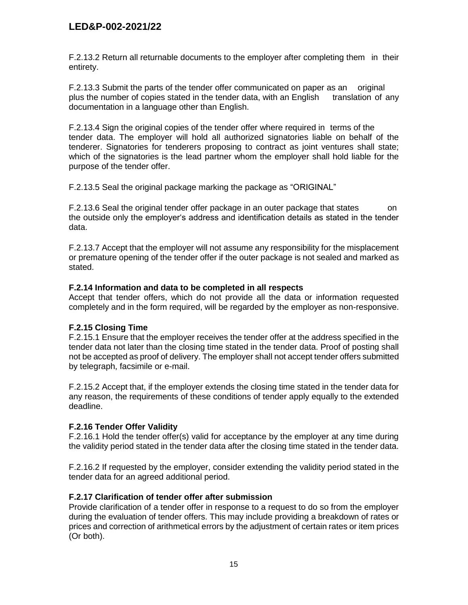F.2.13.2 Return all returnable documents to the employer after completing them in their entirety.

F.2.13.3 Submit the parts of the tender offer communicated on paper as an original plus the number of copies stated in the tender data, with an English translation of any documentation in a language other than English.

F.2.13.4 Sign the original copies of the tender offer where required in terms of the tender data. The employer will hold all authorized signatories liable on behalf of the tenderer. Signatories for tenderers proposing to contract as joint ventures shall state; which of the signatories is the lead partner whom the employer shall hold liable for the purpose of the tender offer.

F.2.13.5 Seal the original package marking the package as "ORIGINAL"

F.2.13.6 Seal the original tender offer package in an outer package that states on the outside only the employer's address and identification details as stated in the tender data.

F.2.13.7 Accept that the employer will not assume any responsibility for the misplacement or premature opening of the tender offer if the outer package is not sealed and marked as stated.

#### **F.2.14 Information and data to be completed in all respects**

Accept that tender offers, which do not provide all the data or information requested completely and in the form required, will be regarded by the employer as non-responsive.

#### **F.2.15 Closing Time**

F.2.15.1 Ensure that the employer receives the tender offer at the address specified in the tender data not later than the closing time stated in the tender data. Proof of posting shall not be accepted as proof of delivery. The employer shall not accept tender offers submitted by telegraph, facsimile or e-mail.

F.2.15.2 Accept that, if the employer extends the closing time stated in the tender data for any reason, the requirements of these conditions of tender apply equally to the extended deadline.

#### **F.2.16 Tender Offer Validity**

F.2.16.1 Hold the tender offer(s) valid for acceptance by the employer at any time during the validity period stated in the tender data after the closing time stated in the tender data.

F.2.16.2 If requested by the employer, consider extending the validity period stated in the tender data for an agreed additional period.

#### **F.2.17 Clarification of tender offer after submission**

Provide clarification of a tender offer in response to a request to do so from the employer during the evaluation of tender offers. This may include providing a breakdown of rates or prices and correction of arithmetical errors by the adjustment of certain rates or item prices (Or both).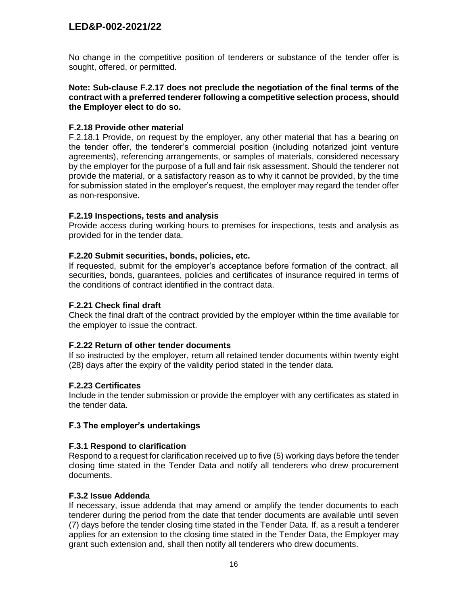No change in the competitive position of tenderers or substance of the tender offer is sought, offered, or permitted.

**Note: Sub-clause F.2.17 does not preclude the negotiation of the final terms of the contract with a preferred tenderer following a competitive selection process, should the Employer elect to do so.**

#### **F.2.18 Provide other material**

F.2.18.1 Provide, on request by the employer, any other material that has a bearing on the tender offer, the tenderer's commercial position (including notarized joint venture agreements), referencing arrangements, or samples of materials, considered necessary by the employer for the purpose of a full and fair risk assessment. Should the tenderer not provide the material, or a satisfactory reason as to why it cannot be provided, by the time for submission stated in the employer's request, the employer may regard the tender offer as non-responsive.

#### **F.2.19 Inspections, tests and analysis**

Provide access during working hours to premises for inspections, tests and analysis as provided for in the tender data.

#### **F.2.20 Submit securities, bonds, policies, etc.**

If requested, submit for the employer's acceptance before formation of the contract, all securities, bonds, guarantees, policies and certificates of insurance required in terms of the conditions of contract identified in the contract data.

#### **F.2.21 Check final draft**

Check the final draft of the contract provided by the employer within the time available for the employer to issue the contract.

#### **F.2.22 Return of other tender documents**

If so instructed by the employer, return all retained tender documents within twenty eight (28) days after the expiry of the validity period stated in the tender data.

#### **F.2.23 Certificates**

Include in the tender submission or provide the employer with any certificates as stated in the tender data.

#### **F.3 The employer's undertakings**

#### **F.3.1 Respond to clarification**

Respond to a request for clarification received up to five (5) working days before the tender closing time stated in the Tender Data and notify all tenderers who drew procurement documents.

#### **F.3.2 Issue Addenda**

If necessary, issue addenda that may amend or amplify the tender documents to each tenderer during the period from the date that tender documents are available until seven (7) days before the tender closing time stated in the Tender Data. If, as a result a tenderer applies for an extension to the closing time stated in the Tender Data, the Employer may grant such extension and, shall then notify all tenderers who drew documents.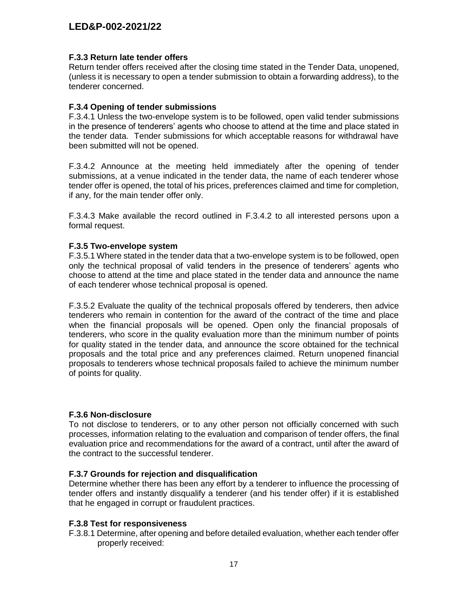#### **F.3.3 Return late tender offers**

Return tender offers received after the closing time stated in the Tender Data, unopened, (unless it is necessary to open a tender submission to obtain a forwarding address), to the tenderer concerned.

#### **F.3.4 Opening of tender submissions**

F.3.4.1 Unless the two-envelope system is to be followed, open valid tender submissions in the presence of tenderers' agents who choose to attend at the time and place stated in the tender data. Tender submissions for which acceptable reasons for withdrawal have been submitted will not be opened.

F.3.4.2 Announce at the meeting held immediately after the opening of tender submissions, at a venue indicated in the tender data, the name of each tenderer whose tender offer is opened, the total of his prices, preferences claimed and time for completion, if any, for the main tender offer only.

F.3.4.3 Make available the record outlined in F.3.4.2 to all interested persons upon a formal request.

#### **F.3.5 Two-envelope system**

F.3.5.1 Where stated in the tender data that a two-envelope system is to be followed, open only the technical proposal of valid tenders in the presence of tenderers' agents who choose to attend at the time and place stated in the tender data and announce the name of each tenderer whose technical proposal is opened.

F.3.5.2 Evaluate the quality of the technical proposals offered by tenderers, then advice tenderers who remain in contention for the award of the contract of the time and place when the financial proposals will be opened. Open only the financial proposals of tenderers, who score in the quality evaluation more than the minimum number of points for quality stated in the tender data, and announce the score obtained for the technical proposals and the total price and any preferences claimed. Return unopened financial proposals to tenderers whose technical proposals failed to achieve the minimum number of points for quality.

#### **F.3.6 Non-disclosure**

To not disclose to tenderers, or to any other person not officially concerned with such processes, information relating to the evaluation and comparison of tender offers, the final evaluation price and recommendations for the award of a contract, until after the award of the contract to the successful tenderer.

#### **F.3.7 Grounds for rejection and disqualification**

Determine whether there has been any effort by a tenderer to influence the processing of tender offers and instantly disqualify a tenderer (and his tender offer) if it is established that he engaged in corrupt or fraudulent practices.

#### **F.3.8 Test for responsiveness**

F.3.8.1 Determine, after opening and before detailed evaluation, whether each tender offer properly received: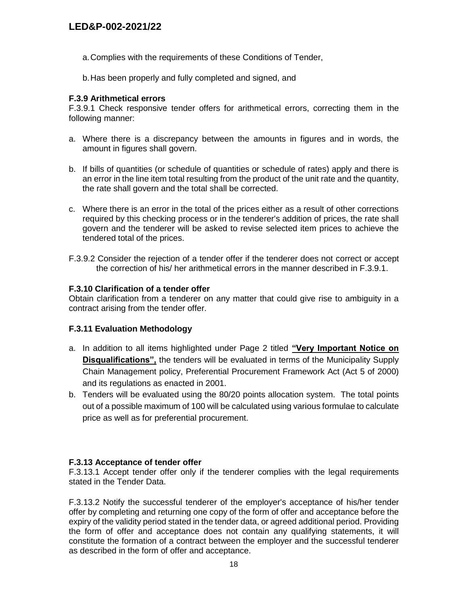- a.Complies with the requirements of these Conditions of Tender,
- b.Has been properly and fully completed and signed, and

#### **F.3.9 Arithmetical errors**

F.3.9.1 Check responsive tender offers for arithmetical errors, correcting them in the following manner:

- a. Where there is a discrepancy between the amounts in figures and in words, the amount in figures shall govern.
- b. If bills of quantities (or schedule of quantities or schedule of rates) apply and there is an error in the line item total resulting from the product of the unit rate and the quantity, the rate shall govern and the total shall be corrected.
- c. Where there is an error in the total of the prices either as a result of other corrections required by this checking process or in the tenderer's addition of prices, the rate shall govern and the tenderer will be asked to revise selected item prices to achieve the tendered total of the prices.
- F.3.9.2 Consider the rejection of a tender offer if the tenderer does not correct or accept the correction of his/ her arithmetical errors in the manner described in F.3.9.1.

#### **F.3.10 Clarification of a tender offer**

Obtain clarification from a tenderer on any matter that could give rise to ambiguity in a contract arising from the tender offer.

#### **F.3.11 Evaluation Methodology**

- a. In addition to all items highlighted under Page 2 titled **"Very Important Notice on Disqualifications",** the tenders will be evaluated in terms of the Municipality Supply Chain Management policy, Preferential Procurement Framework Act (Act 5 of 2000) and its regulations as enacted in 2001.
- b. Tenders will be evaluated using the 80/20 points allocation system. The total points out of a possible maximum of 100 will be calculated using various formulae to calculate price as well as for preferential procurement.

#### **F.3.13 Acceptance of tender offer**

F.3.13.1 Accept tender offer only if the tenderer complies with the legal requirements stated in the Tender Data.

F.3.13.2 Notify the successful tenderer of the employer's acceptance of his/her tender offer by completing and returning one copy of the form of offer and acceptance before the expiry of the validity period stated in the tender data, or agreed additional period. Providing the form of offer and acceptance does not contain any qualifying statements, it will constitute the formation of a contract between the employer and the successful tenderer as described in the form of offer and acceptance.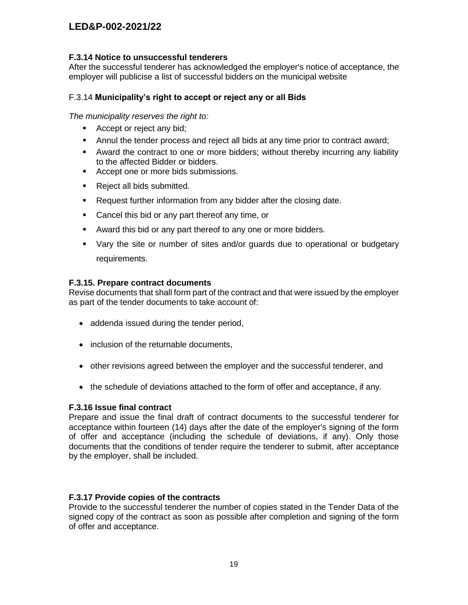#### **F.3.14 Notice to unsuccessful tenderers**

After the successful tenderer has acknowledged the employer's notice of acceptance, the employer will publicise a list of successful bidders on the municipal website

### F.3.14 **Municipality's right to accept or reject any or all Bids**

*The municipality reserves the right to:*

- Accept or reject any bid;
- Annul the tender process and reject all bids at any time prior to contract award;
- Award the contract to one or more bidders; without thereby incurring any liability to the affected Bidder or bidders.
- Accept one or more bids submissions.
- **Reject all bids submitted.**
- **Request further information from any bidder after the closing date.**
- **Cancel this bid or any part thereof any time, or**
- Award this bid or any part thereof to any one or more bidders.
- Vary the site or number of sites and/or guards due to operational or budgetary requirements.

#### **F.3.15. Prepare contract documents**

Revise documents that shall form part of the contract and that were issued by the employer as part of the tender documents to take account of:

- addenda issued during the tender period,
- inclusion of the returnable documents,
- other revisions agreed between the employer and the successful tenderer, and
- the schedule of deviations attached to the form of offer and acceptance, if any.

#### **F.3.16 Issue final contract**

Prepare and issue the final draft of contract documents to the successful tenderer for acceptance within fourteen (14) days after the date of the employer's signing of the form of offer and acceptance (including the schedule of deviations, if any). Only those documents that the conditions of tender require the tenderer to submit, after acceptance by the employer, shall be included.

#### **F.3.17 Provide copies of the contracts**

Provide to the successful tenderer the number of copies stated in the Tender Data of the signed copy of the contract as soon as possible after completion and signing of the form of offer and acceptance.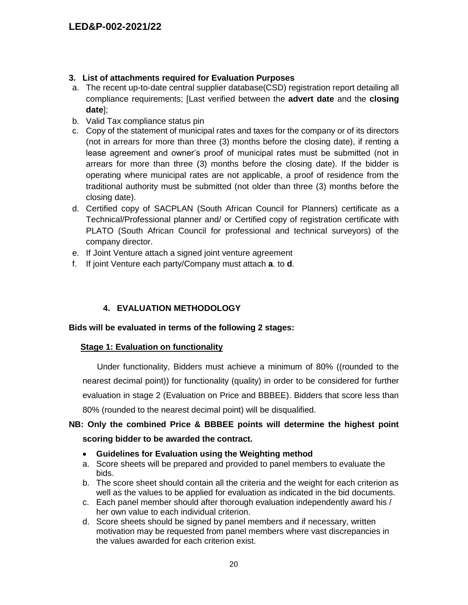# **3. List of attachments required for Evaluation Purposes**

- a. The recent up-to-date central supplier database(CSD) registration report detailing all compliance requirements; [Last verified between the **advert date** and the **closing date**];
- b. Valid Tax compliance status pin
- c. Copy of the statement of municipal rates and taxes for the company or of its directors (not in arrears for more than three (3) months before the closing date), if renting a lease agreement and owner's proof of municipal rates must be submitted (not in arrears for more than three (3) months before the closing date). If the bidder is operating where municipal rates are not applicable, a proof of residence from the traditional authority must be submitted (not older than three (3) months before the closing date).
- d. Certified copy of SACPLAN (South African Council for Planners) certificate as a Technical/Professional planner and/ or Certified copy of registration certificate with PLATO (South African Council for professional and technical surveyors) of the company director.
- e. If Joint Venture attach a signed joint venture agreement
- f. If joint Venture each party/Company must attach **a**. to **d**.

# **4. EVALUATION METHODOLOGY**

#### **Bids will be evaluated in terms of the following 2 stages:**

#### **Stage 1: Evaluation on functionality**

 Under functionality, Bidders must achieve a minimum of 80% ((rounded to the nearest decimal point)) for functionality (quality) in order to be considered for further evaluation in stage 2 (Evaluation on Price and BBBEE). Bidders that score less than 80% (rounded to the nearest decimal point) will be disqualified.

# **NB: Only the combined Price & BBBEE points will determine the highest point scoring bidder to be awarded the contract.**

- **Guidelines for Evaluation using the Weighting method**
- a. Score sheets will be prepared and provided to panel members to evaluate the bids.
- b. The score sheet should contain all the criteria and the weight for each criterion as well as the values to be applied for evaluation as indicated in the bid documents.
- c. Each panel member should after thorough evaluation independently award his / her own value to each individual criterion.
- d. Score sheets should be signed by panel members and if necessary, written motivation may be requested from panel members where vast discrepancies in the values awarded for each criterion exist.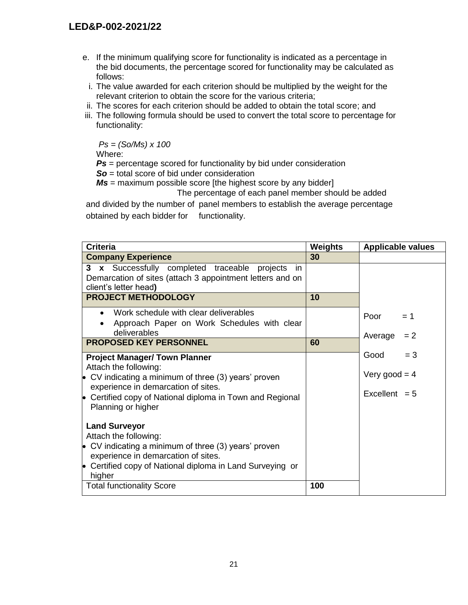- e. If the minimum qualifying score for functionality is indicated as a percentage in the bid documents, the percentage scored for functionality may be calculated as follows:
- i. The value awarded for each criterion should be multiplied by the weight for the relevant criterion to obtain the score for the various criteria;
- ii. The scores for each criterion should be added to obtain the total score; and
- iii. The following formula should be used to convert the total score to percentage for functionality:

*Ps = (So/Ms) x 100*

Where:

*Ps* = percentage scored for functionality by bid under consideration

*So* = total score of bid under consideration

*Ms* = maximum possible score [the highest score by any bidder]

The percentage of each panel member should be added

and divided by the number of panel members to establish the average percentage obtained by each bidder for functionality.

| <b>Criteria</b>                                                                                                                                                                                                                                                                                          | <b>Weights</b> | <b>Applicable values</b>                            |
|----------------------------------------------------------------------------------------------------------------------------------------------------------------------------------------------------------------------------------------------------------------------------------------------------------|----------------|-----------------------------------------------------|
| <b>Company Experience</b>                                                                                                                                                                                                                                                                                | 30             |                                                     |
| 3 x Successfully completed traceable<br>projects<br>in<br>Demarcation of sites (attach 3 appointment letters and on<br>client's letter head)                                                                                                                                                             |                |                                                     |
| <b>PROJECT METHODOLOGY</b>                                                                                                                                                                                                                                                                               | 10             |                                                     |
| Work schedule with clear deliverables<br>$\bullet$<br>Approach Paper on Work Schedules with clear<br>deliverables                                                                                                                                                                                        |                | Poor<br>$= 1$<br>Average<br>$= 2$                   |
| <b>PROPOSED KEY PERSONNEL</b>                                                                                                                                                                                                                                                                            | 60             |                                                     |
| <b>Project Manager/ Town Planner</b><br>Attach the following:<br>$\bullet$ CV indicating a minimum of three (3) years' proven<br>experience in demarcation of sites.<br>• Certified copy of National diploma in Town and Regional<br>Planning or higher<br><b>Land Surveyor</b><br>Attach the following: |                | $= 3$<br>Good<br>Very good = $4$<br>Excellent $= 5$ |
| • CV indicating a minimum of three $(3)$ years' proven<br>experience in demarcation of sites.<br>• Certified copy of National diploma in Land Surveying or<br>higher<br><b>Total functionality Score</b>                                                                                                 | 100            |                                                     |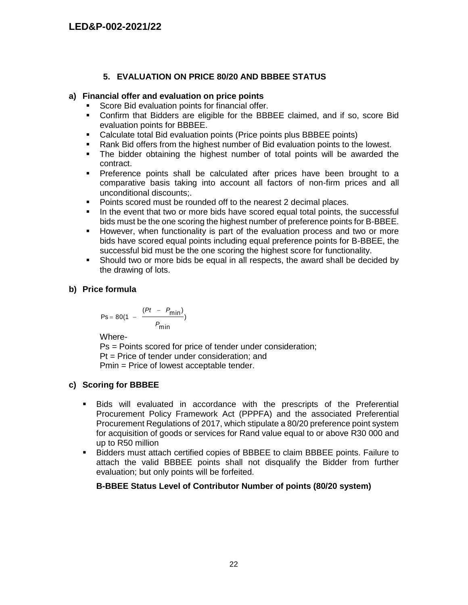## **5. EVALUATION ON PRICE 80/20 AND BBBEE STATUS**

#### **a) Financial offer and evaluation on price points**

- Score Bid evaluation points for financial offer.
- Confirm that Bidders are eligible for the BBBEE claimed, and if so, score Bid evaluation points for BBBEE.
- Calculate total Bid evaluation points (Price points plus BBBEE points)
- Rank Bid offers from the highest number of Bid evaluation points to the lowest.
- The bidder obtaining the highest number of total points will be awarded the contract.
- **Preference points shall be calculated after prices have been brought to a** comparative basis taking into account all factors of non-firm prices and all unconditional discounts;.
- Points scored must be rounded off to the nearest 2 decimal places.
- In the event that two or more bids have scored equal total points, the successful bids must be the one scoring the highest number of preference points for B-BBEE.
- However, when functionality is part of the evaluation process and two or more bids have scored equal points including equal preference points for B-BBEE, the successful bid must be the one scoring the highest score for functionality.
- Should two or more bids be equal in all respects, the award shall be decided by the drawing of lots.

## **b) Price formula**

$$
Ps = 80(1 - \frac{(Pt - P_{min})}{P_{min}})
$$

Where-

Ps = Points scored for price of tender under consideration; Pt = Price of tender under consideration; and Pmin = Price of lowest acceptable tender.

# **c) Scoring for BBBEE**

- Bids will evaluated in accordance with the prescripts of the Preferential Procurement Policy Framework Act (PPPFA) and the associated Preferential Procurement Regulations of 2017, which stipulate a 80/20 preference point system for acquisition of goods or services for Rand value equal to or above R30 000 and up to R50 million
- Bidders must attach certified copies of BBBEE to claim BBBEE points. Failure to attach the valid BBBEE points shall not disqualify the Bidder from further evaluation; but only points will be forfeited.

# **B-BBEE Status Level of Contributor Number of points (80/20 system)**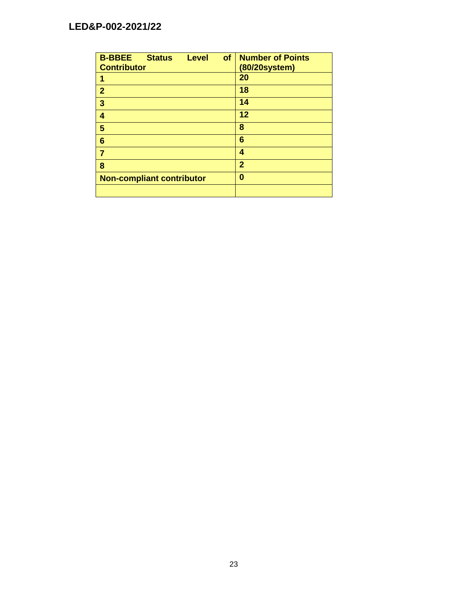| <b>B-BBEE</b><br>of<br><b>Status</b><br><b>Level</b> | <b>Number of Points</b> |
|------------------------------------------------------|-------------------------|
| <b>Contributor</b>                                   | (80/20system)           |
| 1                                                    | 20                      |
| $\overline{2}$                                       | 18                      |
| 3                                                    | 14                      |
| 4                                                    | 12                      |
| 5                                                    | 8                       |
| 6                                                    | 6                       |
|                                                      | 4                       |
| 8                                                    | $\overline{2}$          |
| <b>Non-compliant contributor</b>                     | 0                       |
|                                                      |                         |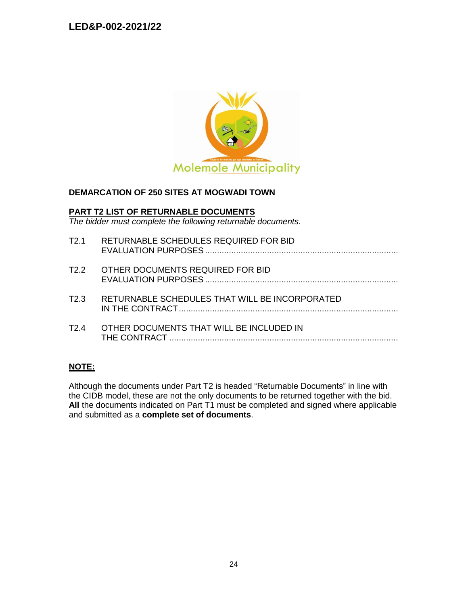

#### **DEMARCATION OF 250 SITES AT MOGWADI TOWN**

#### **PART T2 LIST OF RETURNABLE DOCUMENTS**

*The bidder must complete the following returnable documents.*

| T <sub>2.1</sub>  | RETURNABLE SCHEDULES REQUIRED FOR BID          |
|-------------------|------------------------------------------------|
| T <sub>2.2</sub>  | OTHER DOCUMENTS REQUIRED FOR BID               |
| T2.3              | RETURNABLE SCHEDULES THAT WILL BE INCORPORATED |
| T <sub>2</sub> .4 | OTHER DOCUMENTS THAT WILL BE INCLUDED IN       |

#### **NOTE:**

Although the documents under Part T2 is headed "Returnable Documents" in line with the CIDB model, these are not the only documents to be returned together with the bid. All the documents indicated on Part T1 must be completed and signed where applicable and submitted as a **complete set of documents**.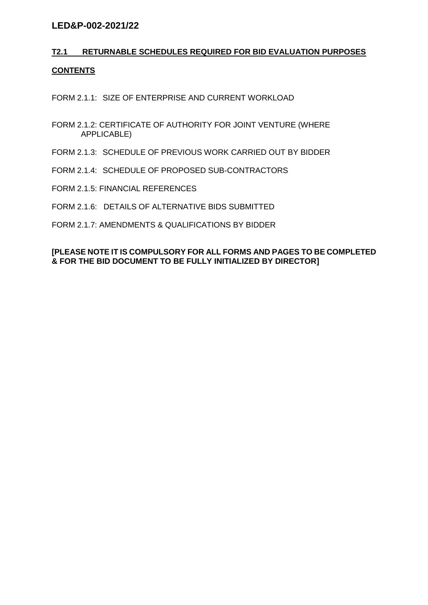# **T2.1 RETURNABLE SCHEDULES REQUIRED FOR BID EVALUATION PURPOSES CONTENTS**

FORM 2.1.1: SIZE OF ENTERPRISE AND CURRENT WORKLOAD

- FORM 2.1.2: CERTIFICATE OF AUTHORITY FOR JOINT VENTURE (WHERE APPLICABLE)
- FORM 2.1.3: SCHEDULE OF PREVIOUS WORK CARRIED OUT BY BIDDER
- FORM 2.1.4: SCHEDULE OF PROPOSED SUB-CONTRACTORS
- FORM 2.1.5: FINANCIAL REFERENCES
- FORM 2.1.6: DETAILS OF ALTERNATIVE BIDS SUBMITTED
- FORM 2.1.7: AMENDMENTS & QUALIFICATIONS BY BIDDER

### **[PLEASE NOTE IT IS COMPULSORY FOR ALL FORMS AND PAGES TO BE COMPLETED & FOR THE BID DOCUMENT TO BE FULLY INITIALIZED BY DIRECTOR]**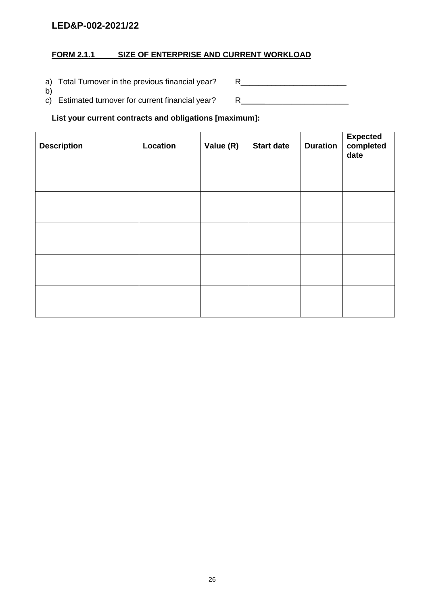# **FORM 2.1.1 SIZE OF ENTERPRISE AND CURRENT WORKLOAD**

a) Total Turnover in the previous financial year? R\_\_\_\_\_\_\_\_\_\_\_\_\_\_\_\_\_\_\_\_\_\_\_\_\_\_\_\_\_

b) c) Estimated turnover for current financial year? R \_\_\_\_\_\_\_\_\_\_\_\_\_\_\_\_\_\_\_

**List your current contracts and obligations [maximum]:**

| <b>Description</b> | Location | Value (R) | <b>Start date</b> | <b>Duration</b> | Expected<br>completed<br>date |
|--------------------|----------|-----------|-------------------|-----------------|-------------------------------|
|                    |          |           |                   |                 |                               |
|                    |          |           |                   |                 |                               |
|                    |          |           |                   |                 |                               |
|                    |          |           |                   |                 |                               |
|                    |          |           |                   |                 |                               |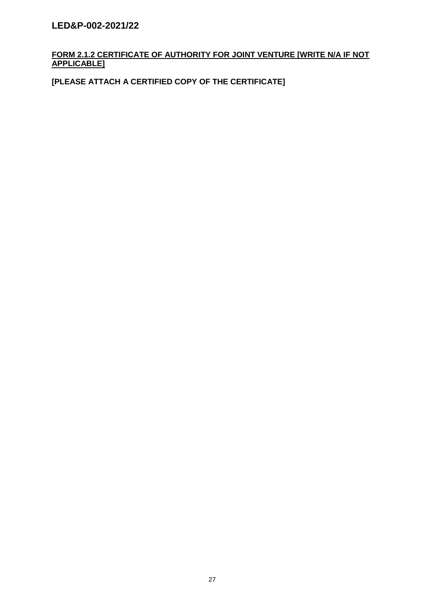# **FORM 2.1.2 CERTIFICATE OF AUTHORITY FOR JOINT VENTURE [WRITE N/A IF NOT APPLICABLE]**

**[PLEASE ATTACH A CERTIFIED COPY OF THE CERTIFICATE]**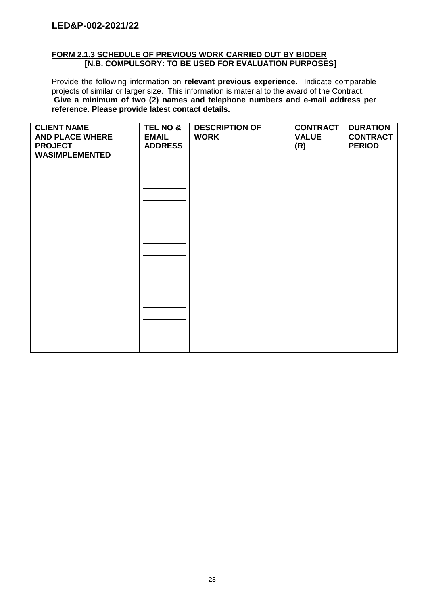# **FORM 2.1.3 SCHEDULE OF PREVIOUS WORK CARRIED OUT BY BIDDER [N.B. COMPULSORY: TO BE USED FOR EVALUATION PURPOSES]**

Provide the following information on **relevant previous experience.** Indicate comparable projects of similar or larger size. This information is material to the award of the Contract. **Give a minimum of two (2) names and telephone numbers and e-mail address per reference. Please provide latest contact details.**

| <b>CLIENT NAME</b><br><b>AND PLACE WHERE</b><br><b>PROJECT</b><br><b>WASIMPLEMENTED</b> | <b>TEL NO &amp;</b><br><b>EMAIL</b><br><b>ADDRESS</b> | <b>DESCRIPTION OF</b><br><b>WORK</b> | <b>CONTRACT</b><br><b>VALUE</b><br>(R) | <b>DURATION</b><br><b>CONTRACT</b><br><b>PERIOD</b> |
|-----------------------------------------------------------------------------------------|-------------------------------------------------------|--------------------------------------|----------------------------------------|-----------------------------------------------------|
|                                                                                         |                                                       |                                      |                                        |                                                     |
|                                                                                         |                                                       |                                      |                                        |                                                     |
|                                                                                         |                                                       |                                      |                                        |                                                     |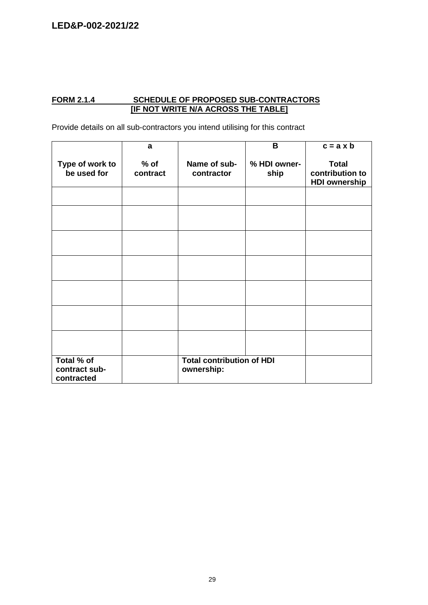#### **FORM 2.1.4 SCHEDULE OF PROPOSED SUB-CONTRACTORS [IF NOT WRITE N/A ACROSS THE TABLE]**

Provide details on all sub-contractors you intend utilising for this contract

|                                           | a                  |                                                | B                    | $c = a \times b$                                        |
|-------------------------------------------|--------------------|------------------------------------------------|----------------------|---------------------------------------------------------|
| Type of work to<br>be used for            | $%$ of<br>contract | Name of sub-<br>contractor                     | % HDI owner-<br>ship | <b>Total</b><br>contribution to<br><b>HDI ownership</b> |
|                                           |                    |                                                |                      |                                                         |
|                                           |                    |                                                |                      |                                                         |
|                                           |                    |                                                |                      |                                                         |
|                                           |                    |                                                |                      |                                                         |
|                                           |                    |                                                |                      |                                                         |
|                                           |                    |                                                |                      |                                                         |
|                                           |                    |                                                |                      |                                                         |
| Total % of<br>contract sub-<br>contracted |                    | <b>Total contribution of HDI</b><br>ownership: |                      |                                                         |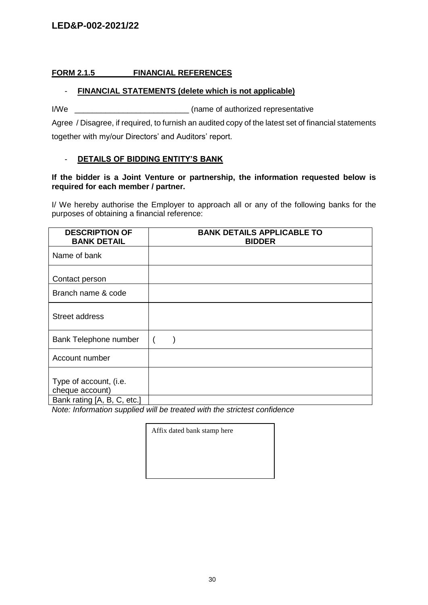# **FORM 2.1.5 FINANCIAL REFERENCES**

# - **FINANCIAL STATEMENTS (delete which is not applicable)**

I/We  $\frac{1}{2}$  (name of authorized representative

Agree / Disagree, if required, to furnish an audited copy of the latest set of financial statements together with my/our Directors' and Auditors' report.

## - **DETAILS OF BIDDING ENTITY'S BANK**

#### **If the bidder is a Joint Venture or partnership, the information requested below is required for each member / partner.**

I/ We hereby authorise the Employer to approach all or any of the following banks for the purposes of obtaining a financial reference:

| <b>DESCRIPTION OF</b><br><b>BANK DETAIL</b>                              | <b>BANK DETAILS APPLICABLE TO</b><br><b>BIDDER</b> |
|--------------------------------------------------------------------------|----------------------------------------------------|
| Name of bank                                                             |                                                    |
| Contact person                                                           |                                                    |
| Branch name & code                                                       |                                                    |
| Street address                                                           |                                                    |
| Bank Telephone number                                                    |                                                    |
| Account number                                                           |                                                    |
| Type of account, (i.e.<br>cheque account)<br>Bank rating [A, B, C, etc.] |                                                    |

*Note: Information supplied will be treated with the strictest confidence*

Affix dated bank stamp here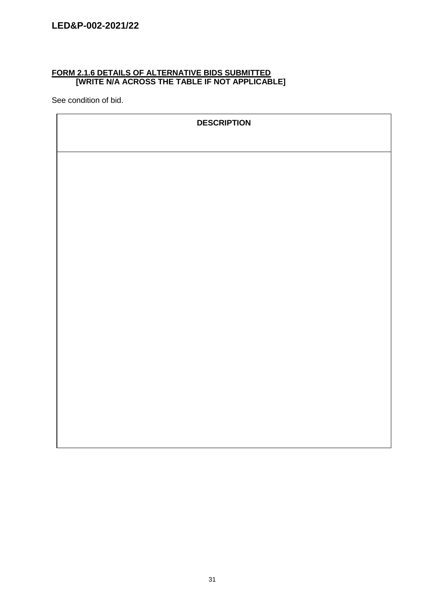## **FORM 2.1.6 DETAILS OF ALTERNATIVE BIDS SUBMITTED [WRITE N/A ACROSS THE TABLE IF NOT APPLICABLE]**

See condition of bid.

| <b>DESCRIPTION</b> |
|--------------------|
|                    |
|                    |
|                    |
|                    |
|                    |
|                    |
|                    |
|                    |
|                    |
|                    |
|                    |
|                    |
|                    |
|                    |
|                    |
|                    |
|                    |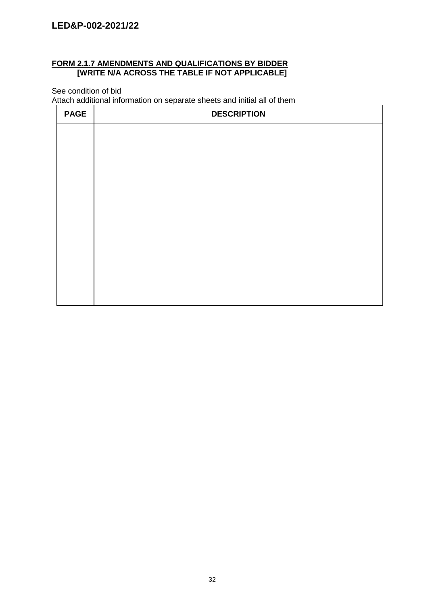## **FORM 2.1.7 AMENDMENTS AND QUALIFICATIONS BY BIDDER [WRITE N/A ACROSS THE TABLE IF NOT APPLICABLE]**

See condition of bid

Attach additional information on separate sheets and initial all of them

| <b>PAGE</b> | <b>DESCRIPTION</b> |
|-------------|--------------------|
|             |                    |
|             |                    |
|             |                    |
|             |                    |
|             |                    |
|             |                    |
|             |                    |
|             |                    |
|             |                    |
|             |                    |
|             |                    |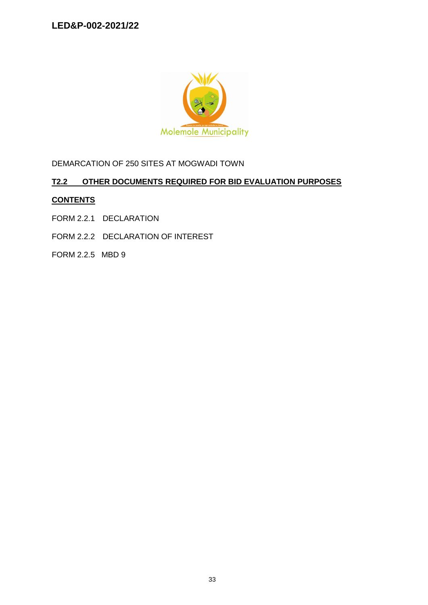

DEMARCATION OF 250 SITES AT MOGWADI TOWN

# **T2.2 OTHER DOCUMENTS REQUIRED FOR BID EVALUATION PURPOSES**

## **CONTENTS**

- FORM 2.2.1 DECLARATION
- FORM 2.2.2 DECLARATION OF INTEREST
- FORM 2.2.5 MBD 9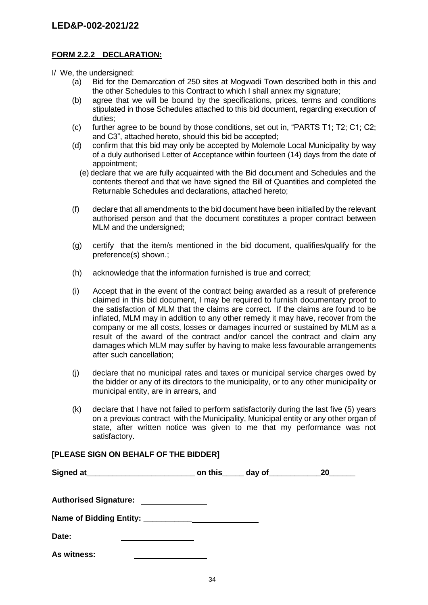### **FORM 2.2.2 DECLARATION:**

I/ We, the undersigned:

- (a) Bid for the Demarcation of 250 sites at Mogwadi Town described both in this and the other Schedules to this Contract to which I shall annex my signature;
- (b) agree that we will be bound by the specifications, prices, terms and conditions stipulated in those Schedules attached to this bid document, regarding execution of duties;
- (c) further agree to be bound by those conditions, set out in, "PARTS T1; T2; C1; C2; and C3", attached hereto, should this bid be accepted;
- (d) confirm that this bid may only be accepted by Molemole Local Municipality by way of a duly authorised Letter of Acceptance within fourteen (14) days from the date of appointment;
	- (e) declare that we are fully acquainted with the Bid document and Schedules and the contents thereof and that we have signed the Bill of Quantities and completed the Returnable Schedules and declarations, attached hereto;
- (f) declare that all amendments to the bid document have been initialled by the relevant authorised person and that the document constitutes a proper contract between MLM and the undersigned;
- (g) certify that the item/s mentioned in the bid document, qualifies/qualify for the preference(s) shown.;
- (h) acknowledge that the information furnished is true and correct;
- (i) Accept that in the event of the contract being awarded as a result of preference claimed in this bid document, I may be required to furnish documentary proof to the satisfaction of MLM that the claims are correct. If the claims are found to be inflated, MLM may in addition to any other remedy it may have, recover from the company or me all costs, losses or damages incurred or sustained by MLM as a result of the award of the contract and/or cancel the contract and claim any damages which MLM may suffer by having to make less favourable arrangements after such cancellation;
- (j) declare that no municipal rates and taxes or municipal service charges owed by the bidder or any of its directors to the municipality, or to any other municipality or municipal entity, are in arrears, and
- (k) declare that I have not failed to perform satisfactorily during the last five (5) years on a previous contract with the Municipality, Municipal entity or any other organ of state, after written notice was given to me that my performance was not satisfactory.

## **[PLEASE SIGN ON BEHALF OF THE BIDDER]**

|                              | on this $\_\_\_$ day of $\_\_\_\_\_\_\_\_$ | 20 |
|------------------------------|--------------------------------------------|----|
| <b>Authorised Signature:</b> |                                            |    |
|                              |                                            |    |
| Date:                        |                                            |    |
| As witness:                  |                                            |    |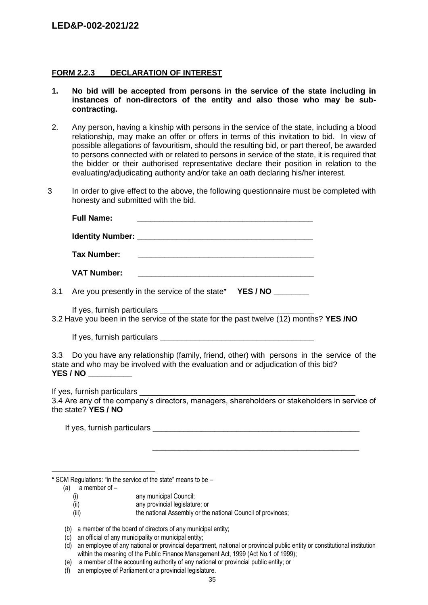#### **FORM 2.2.3 DECLARATION OF INTEREST**

- **1. No bid will be accepted from persons in the service of the state including in instances of non-directors of the entity and also those who may be subcontracting.**
- 2. Any person, having a kinship with persons in the service of the state, including a blood relationship, may make an offer or offers in terms of this invitation to bid. In view of possible allegations of favouritism, should the resulting bid, or part thereof, be awarded to persons connected with or related to persons in service of the state, it is required that the bidder or their authorised representative declare their position in relation to the evaluating/adjudicating authority and/or take an oath declaring his/her interest.
- 3 In order to give effect to the above, the following questionnaire must be completed with honesty and submitted with the bid.

|     | <b>Full Name:</b><br><u> 1989 - Andrea Station Barbara, actor a contra a contra a contra a contra a contra a contra a contra a con</u>                                                                   |  |
|-----|----------------------------------------------------------------------------------------------------------------------------------------------------------------------------------------------------------|--|
|     |                                                                                                                                                                                                          |  |
|     | <b>Tax Number:</b><br><u> Louis Communication de la communication de la communication de la communication de la communication de la com</u>                                                              |  |
|     | <b>VAT Number:</b>                                                                                                                                                                                       |  |
| 3.1 | Are you presently in the service of the state* YES / NO                                                                                                                                                  |  |
|     |                                                                                                                                                                                                          |  |
|     |                                                                                                                                                                                                          |  |
|     | 3.3 Do you have any relationship (family, friend, other) with persons in the service of the<br>state and who may be involved with the evaluation and or adjudication of this bid?<br>YES / NO __________ |  |
|     | 3.4 Are any of the company's directors, managers, shareholders or stakeholders in service of<br>the state? YES / NO                                                                                      |  |
|     |                                                                                                                                                                                                          |  |
|     | <u> 1989 - Johann Barn, amerikan bernama di sebagai bernama dalam bernama dalam bernama dalam bernama dalam bern</u>                                                                                     |  |
|     |                                                                                                                                                                                                          |  |
|     |                                                                                                                                                                                                          |  |

\* SCM Regulations: "in the service of the state" means to be -

(a) a member of –

- (i) any municipal Council;
- (ii) any provincial legislature; or
- (iii) the national Assembly or the national Council of provinces;
- (b) a member of the board of directors of any municipal entity;
- (c) an official of any municipality or municipal entity;
- (d) an employee of any national or provincial department, national or provincial public entity or constitutional institution within the meaning of the Public Finance Management Act, 1999 (Act No.1 of 1999);
- (e) a member of the accounting authority of any national or provincial public entity; or
- (f) an employee of Parliament or a provincial legislature.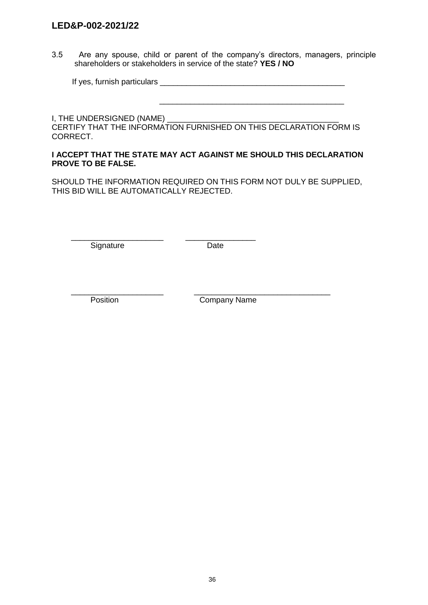3.5 Are any spouse, child or parent of the company's directors, managers, principle shareholders or stakeholders in service of the state? **YES / NO**

| If yes, furnish particulars |  |
|-----------------------------|--|
|-----------------------------|--|

I, THE UNDERSIGNED (NAME) \_ CERTIFY THAT THE INFORMATION FURNISHED ON THIS DECLARATION FORM IS CORRECT.

 $\frac{1}{2}$  ,  $\frac{1}{2}$  ,  $\frac{1}{2}$  ,  $\frac{1}{2}$  ,  $\frac{1}{2}$  ,  $\frac{1}{2}$  ,  $\frac{1}{2}$  ,  $\frac{1}{2}$  ,  $\frac{1}{2}$  ,  $\frac{1}{2}$  ,  $\frac{1}{2}$  ,  $\frac{1}{2}$  ,  $\frac{1}{2}$  ,  $\frac{1}{2}$  ,  $\frac{1}{2}$  ,  $\frac{1}{2}$  ,  $\frac{1}{2}$  ,  $\frac{1}{2}$  ,  $\frac{1$ 

#### **I ACCEPT THAT THE STATE MAY ACT AGAINST ME SHOULD THIS DECLARATION PROVE TO BE FALSE.**

SHOULD THE INFORMATION REQUIRED ON THIS FORM NOT DULY BE SUPPLIED, THIS BID WILL BE AUTOMATICALLY REJECTED.

\_\_\_\_\_\_\_\_\_\_\_\_\_\_\_\_\_\_\_\_\_ \_\_\_\_\_\_\_\_\_\_\_\_\_\_\_\_ Signature Date

\_\_\_\_\_\_\_\_\_\_\_\_\_\_\_\_\_\_\_\_\_ \_\_\_\_\_\_\_\_\_\_\_\_\_\_\_\_\_\_\_\_\_\_\_\_\_\_\_\_\_\_\_ Position **Company Name**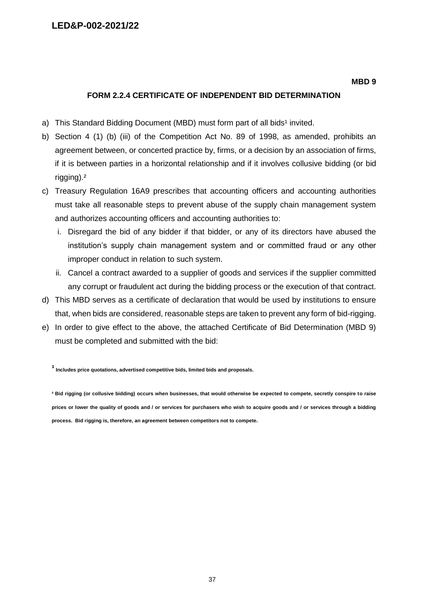#### **MBD 9**

#### **FORM 2.2.4 CERTIFICATE OF INDEPENDENT BID DETERMINATION**

- a) This Standard Bidding Document (MBD) must form part of all bids<sup>1</sup> invited.
- b) Section 4 (1) (b) (iii) of the Competition Act No. 89 of 1998, as amended, prohibits an agreement between, or concerted practice by, firms, or a decision by an association of firms, if it is between parties in a horizontal relationship and if it involves collusive bidding (or bid rigging).²
- c) Treasury Regulation 16A9 prescribes that accounting officers and accounting authorities must take all reasonable steps to prevent abuse of the supply chain management system and authorizes accounting officers and accounting authorities to:
	- i. Disregard the bid of any bidder if that bidder, or any of its directors have abused the institution's supply chain management system and or committed fraud or any other improper conduct in relation to such system.
	- ii. Cancel a contract awarded to a supplier of goods and services if the supplier committed any corrupt or fraudulent act during the bidding process or the execution of that contract.
- d) This MBD serves as a certificate of declaration that would be used by institutions to ensure that, when bids are considered, reasonable steps are taken to prevent any form of bid-rigging.
- e) In order to give effect to the above, the attached Certificate of Bid Determination (MBD 9) must be completed and submitted with the bid:

**¹ Includes price quotations, advertised competitive bids, limited bids and proposals.**

**² Bid rigging (or collusive bidding) occurs when businesses, that would otherwise be expected to compete, secretly conspire to raise prices or lower the quality of goods and / or services for purchasers who wish to acquire goods and / or services through a bidding process. Bid rigging is, therefore, an agreement between competitors not to compete.**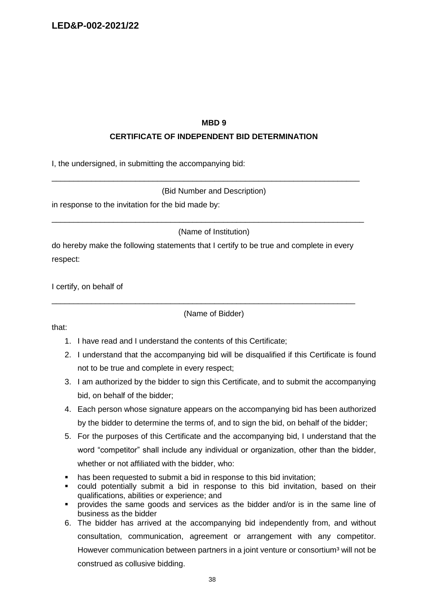#### **MBD 9**

## **CERTIFICATE OF INDEPENDENT BID DETERMINATION**

I, the undersigned, in submitting the accompanying bid:

#### (Bid Number and Description)

\_\_\_\_\_\_\_\_\_\_\_\_\_\_\_\_\_\_\_\_\_\_\_\_\_\_\_\_\_\_\_\_\_\_\_\_\_\_\_\_\_\_\_\_\_\_\_\_\_\_\_\_\_\_\_\_\_\_\_\_\_\_\_\_\_\_\_\_\_\_

in response to the invitation for the bid made by:

(Name of Institution)

\_\_\_\_\_\_\_\_\_\_\_\_\_\_\_\_\_\_\_\_\_\_\_\_\_\_\_\_\_\_\_\_\_\_\_\_\_\_\_\_\_\_\_\_\_\_\_\_\_\_\_\_\_\_\_\_\_\_\_\_\_\_\_\_\_\_\_\_\_\_\_

do hereby make the following statements that I certify to be true and complete in every respect:

\_\_\_\_\_\_\_\_\_\_\_\_\_\_\_\_\_\_\_\_\_\_\_\_\_\_\_\_\_\_\_\_\_\_\_\_\_\_\_\_\_\_\_\_\_\_\_\_\_\_\_\_\_\_\_\_\_\_\_\_\_\_\_\_\_\_\_\_\_

I certify, on behalf of

(Name of Bidder)

that:

- 1. I have read and I understand the contents of this Certificate;
- 2. I understand that the accompanying bid will be disqualified if this Certificate is found not to be true and complete in every respect;
- 3. I am authorized by the bidder to sign this Certificate, and to submit the accompanying bid, on behalf of the bidder;
- 4. Each person whose signature appears on the accompanying bid has been authorized by the bidder to determine the terms of, and to sign the bid, on behalf of the bidder;
- 5. For the purposes of this Certificate and the accompanying bid, I understand that the word "competitor" shall include any individual or organization, other than the bidder, whether or not affiliated with the bidder, who:
- has been requested to submit a bid in response to this bid invitation;
- could potentially submit a bid in response to this bid invitation, based on their qualifications, abilities or experience; and
- provides the same goods and services as the bidder and/or is in the same line of business as the bidder
- 6. The bidder has arrived at the accompanying bid independently from, and without consultation, communication, agreement or arrangement with any competitor. However communication between partners in a joint venture or consortium<sup>3</sup> will not be construed as collusive bidding.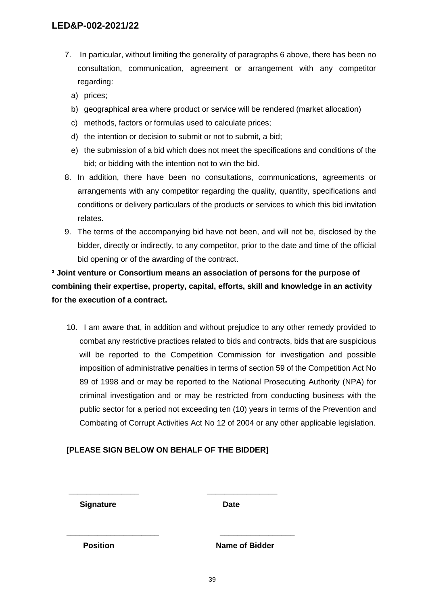- 7. In particular, without limiting the generality of paragraphs 6 above, there has been no consultation, communication, agreement or arrangement with any competitor regarding:
	- a) prices;
	- b) geographical area where product or service will be rendered (market allocation)
	- c) methods, factors or formulas used to calculate prices;
	- d) the intention or decision to submit or not to submit, a bid;
	- e) the submission of a bid which does not meet the specifications and conditions of the bid; or bidding with the intention not to win the bid.
- 8. In addition, there have been no consultations, communications, agreements or arrangements with any competitor regarding the quality, quantity, specifications and conditions or delivery particulars of the products or services to which this bid invitation relates.
- 9. The terms of the accompanying bid have not been, and will not be, disclosed by the bidder, directly or indirectly, to any competitor, prior to the date and time of the official bid opening or of the awarding of the contract.

**³ Joint venture or Consortium means an association of persons for the purpose of combining their expertise, property, capital, efforts, skill and knowledge in an activity for the execution of a contract.**

10. I am aware that, in addition and without prejudice to any other remedy provided to combat any restrictive practices related to bids and contracts, bids that are suspicious will be reported to the Competition Commission for investigation and possible imposition of administrative penalties in terms of section 59 of the Competition Act No 89 of 1998 and or may be reported to the National Prosecuting Authority (NPA) for criminal investigation and or may be restricted from conducting business with the public sector for a period not exceeding ten (10) years in terms of the Prevention and Combating of Corrupt Activities Act No 12 of 2004 or any other applicable legislation.

# **[PLEASE SIGN BELOW ON BEHALF OF THE BIDDER]**

**\_\_\_\_\_\_\_\_\_\_\_\_\_\_\_\_ \_\_\_\_\_\_\_\_\_\_\_\_\_\_\_\_**

**\_\_\_\_\_\_\_\_\_\_\_\_\_\_\_\_\_\_\_\_\_ \_\_\_\_\_\_\_\_\_\_\_\_\_\_\_\_\_**

**Signature Date** 

**Position Name of Bidder**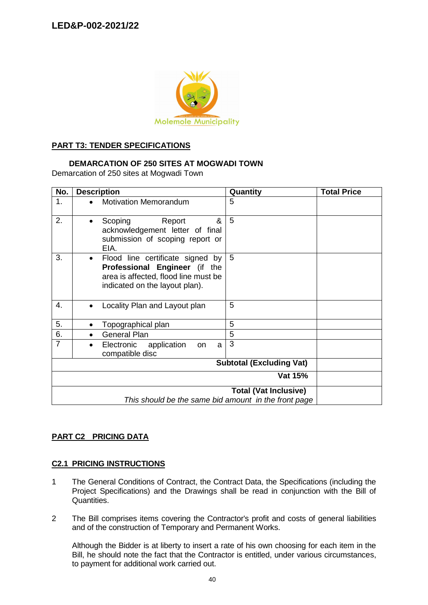

#### **PART T3: TENDER SPECIFICATIONS**

#### **DEMARCATION OF 250 SITES AT MOGWADI TOWN**

Demarcation of 250 sites at Mogwadi Town

| No.            | <b>Description</b>                                                                                                                                       | Quantity                        | <b>Total Price</b> |
|----------------|----------------------------------------------------------------------------------------------------------------------------------------------------------|---------------------------------|--------------------|
| 1.             | <b>Motivation Memorandum</b>                                                                                                                             | 5                               |                    |
| 2.             | Report<br>&<br>Scoping<br>acknowledgement letter of final<br>submission of scoping report or<br>EIA.                                                     | 5                               |                    |
| 3.             | Flood line certificate signed by<br>$\bullet$<br>Professional Engineer (if the<br>area is affected, flood line must be<br>indicated on the layout plan). | 5                               |                    |
| 4.             | Locality Plan and Layout plan                                                                                                                            | 5                               |                    |
| 5.             | Topographical plan                                                                                                                                       | 5                               |                    |
| 6.             | <b>General Plan</b><br>$\bullet$                                                                                                                         | 5                               |                    |
| $\overline{7}$ | Electronic<br>application<br>on<br>a<br>compatible disc                                                                                                  | 3                               |                    |
|                |                                                                                                                                                          | <b>Subtotal (Excluding Vat)</b> |                    |
|                |                                                                                                                                                          | Vat 15%                         |                    |
|                | This should be the same bid amount in the front page                                                                                                     | <b>Total (Vat Inclusive)</b>    |                    |

# **PART C2 PRICING DATA**

#### **C2.1 PRICING INSTRUCTIONS**

- 1 The General Conditions of Contract, the Contract Data, the Specifications (including the Project Specifications) and the Drawings shall be read in conjunction with the Bill of Quantities.
- 2 The Bill comprises items covering the Contractor's profit and costs of general liabilities and of the construction of Temporary and Permanent Works.

Although the Bidder is at liberty to insert a rate of his own choosing for each item in the Bill, he should note the fact that the Contractor is entitled, under various circumstances, to payment for additional work carried out.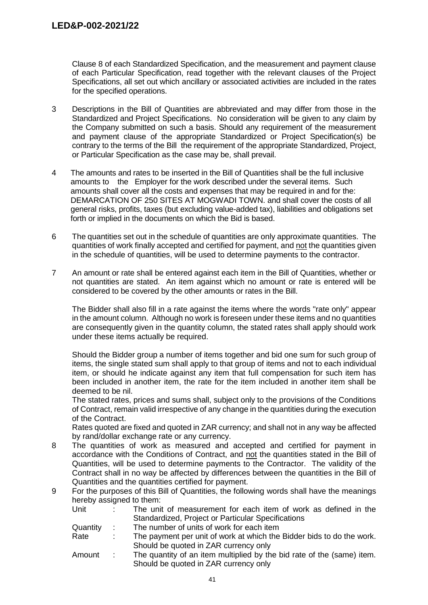Clause 8 of each Standardized Specification, and the measurement and payment clause of each Particular Specification, read together with the relevant clauses of the Project Specifications, all set out which ancillary or associated activities are included in the rates for the specified operations.

- 3 Descriptions in the Bill of Quantities are abbreviated and may differ from those in the Standardized and Project Specifications. No consideration will be given to any claim by the Company submitted on such a basis. Should any requirement of the measurement and payment clause of the appropriate Standardized or Project Specification(s) be contrary to the terms of the Bill the requirement of the appropriate Standardized, Project, or Particular Specification as the case may be, shall prevail.
- 4 The amounts and rates to be inserted in the Bill of Quantities shall be the full inclusive amounts to the Employer for the work described under the several items. Such amounts shall cover all the costs and expenses that may be required in and for the: DEMARCATION OF 250 SITES AT MOGWADI TOWN. and shall cover the costs of all general risks, profits, taxes (but excluding value-added tax), liabilities and obligations set forth or implied in the documents on which the Bid is based.
- 6 The quantities set out in the schedule of quantities are only approximate quantities. The quantities of work finally accepted and certified for payment, and not the quantities given in the schedule of quantities, will be used to determine payments to the contractor.
- 7 An amount or rate shall be entered against each item in the Bill of Quantities, whether or not quantities are stated. An item against which no amount or rate is entered will be considered to be covered by the other amounts or rates in the Bill.

The Bidder shall also fill in a rate against the items where the words "rate only" appear in the amount column. Although no work is foreseen under these items and no quantities are consequently given in the quantity column, the stated rates shall apply should work under these items actually be required.

Should the Bidder group a number of items together and bid one sum for such group of items, the single stated sum shall apply to that group of items and not to each individual item, or should he indicate against any item that full compensation for such item has been included in another item, the rate for the item included in another item shall be deemed to be nil.

The stated rates, prices and sums shall, subject only to the provisions of the Conditions of Contract, remain valid irrespective of any change in the quantities during the execution of the Contract.

Rates quoted are fixed and quoted in ZAR currency; and shall not in any way be affected by rand/dollar exchange rate or any currency.

- 8 The quantities of work as measured and accepted and certified for payment in accordance with the Conditions of Contract, and not the quantities stated in the Bill of Quantities, will be used to determine payments to the Contractor. The validity of the Contract shall in no way be affected by differences between the quantities in the Bill of Quantities and the quantities certified for payment.
- 9 For the purposes of this Bill of Quantities, the following words shall have the meanings hereby assigned to them:

| Unit     |      | The unit of measurement for each item of work as defined in the       |
|----------|------|-----------------------------------------------------------------------|
|          |      | Standardized, Project or Particular Specifications                    |
| Quantity | di s | The number of units of work for each item                             |
| Rate     |      | The payment per unit of work at which the Bidder bids to do the work. |
|          |      | Should be quoted in ZAR currency only                                 |

Amount : The quantity of an item multiplied by the bid rate of the (same) item. Should be quoted in ZAR currency only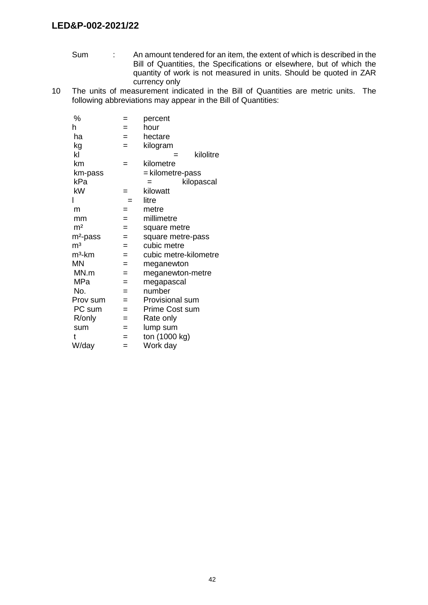- Sum : An amount tendered for an item, the extent of which is described in the Bill of Quantities, the Specifications or elsewhere, but of which the quantity of work is not measured in units. Should be quoted in ZAR currency only
- 10 The units of measurement indicated in the Bill of Quantities are metric units. The following abbreviations may appear in the Bill of Quantities:

| %                    | =   | percent                |
|----------------------|-----|------------------------|
| h                    | $=$ | hour                   |
| ha                   | $=$ | hectare                |
| kg                   | $=$ | kilogram               |
| kl                   |     | kilolitre              |
| km                   | =   | kilometre              |
| km-pass              |     | = kilometre-pass       |
| kPa                  |     | kilopascal<br>=        |
| kW                   | =   | kilowatt               |
|                      | $=$ | litre                  |
| m                    | =   | metre                  |
| mm                   | $=$ | millimetre             |
| m <sup>2</sup>       | $=$ | square metre           |
| m <sup>2</sup> -pass | $=$ | square metre-pass      |
| m <sup>3</sup>       | $=$ | cubic metre            |
| $m3$ -km             | $=$ | cubic metre-kilometre  |
| <b>MN</b>            | $=$ | meganewton             |
| MN.m                 | =   | meganewton-metre       |
| MPa                  | $=$ | megapascal             |
| No.                  | $=$ | number                 |
| Prov sum             | $=$ | <b>Provisional sum</b> |
| PC sum               | $=$ | Prime Cost sum         |
| R/only               | $=$ | Rate only              |
| sum                  | =   | lump sum               |
| t                    | =   | ton (1000 kg)          |
| W/day                | $=$ | Work day               |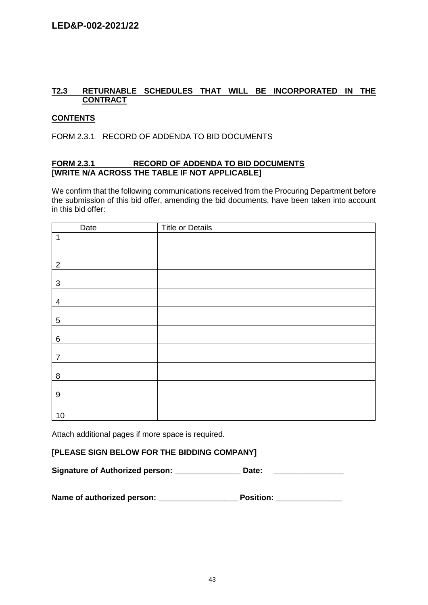# **T2.3 RETURNABLE SCHEDULES THAT WILL BE INCORPORATED IN THE CONTRACT**

### **CONTENTS**

FORM 2.3.1 RECORD OF ADDENDA TO BID DOCUMENTS

#### **FORM 2.3.1 RECORD OF ADDENDA TO BID DOCUMENTS [WRITE N/A ACROSS THE TABLE IF NOT APPLICABLE]**

We confirm that the following communications received from the Procuring Department before the submission of this bid offer, amending the bid documents, have been taken into account in this bid offer:

|                  | Date | <b>Title or Details</b> |
|------------------|------|-------------------------|
| $\mathbf 1$      |      |                         |
| $\overline{2}$   |      |                         |
| $\mathfrak{S}$   |      |                         |
| $\overline{4}$   |      |                         |
| $\overline{5}$   |      |                         |
| $\,6\,$          |      |                         |
| $\overline{7}$   |      |                         |
| $\,8\,$          |      |                         |
| $\boldsymbol{9}$ |      |                         |
| 10               |      |                         |

Attach additional pages if more space is required.

## **[PLEASE SIGN BELOW FOR THE BIDDING COMPANY]**

Signature of Authorized person: Date: Date:

| Name of authorized person: | <b>Position:</b> |
|----------------------------|------------------|
|----------------------------|------------------|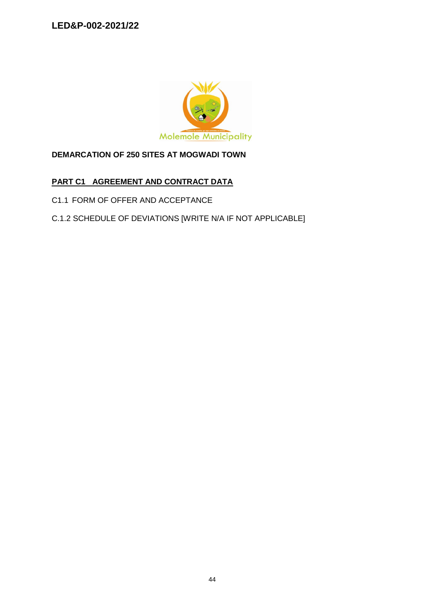

# **DEMARCATION OF 250 SITES AT MOGWADI TOWN**

# **PART C1 AGREEMENT AND CONTRACT DATA**

- C1.1 FORM OF OFFER AND ACCEPTANCE
- C.1.2 SCHEDULE OF DEVIATIONS [WRITE N/A IF NOT APPLICABLE]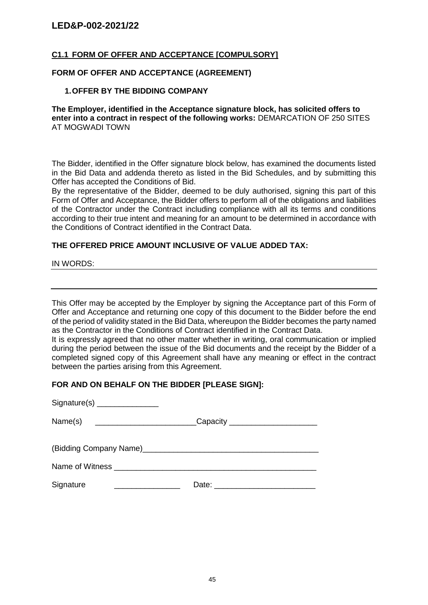### **C1.1 FORM OF OFFER AND ACCEPTANCE [COMPULSORY]**

#### **FORM OF OFFER AND ACCEPTANCE (AGREEMENT)**

#### **1.OFFER BY THE BIDDING COMPANY**

**The Employer, identified in the Acceptance signature block, has solicited offers to enter into a contract in respect of the following works:** DEMARCATION OF 250 SITES AT MOGWADI TOWN

The Bidder, identified in the Offer signature block below, has examined the documents listed in the Bid Data and addenda thereto as listed in the Bid Schedules, and by submitting this Offer has accepted the Conditions of Bid.

By the representative of the Bidder, deemed to be duly authorised, signing this part of this Form of Offer and Acceptance, the Bidder offers to perform all of the obligations and liabilities of the Contractor under the Contract including compliance with all its terms and conditions according to their true intent and meaning for an amount to be determined in accordance with the Conditions of Contract identified in the Contract Data.

#### **THE OFFERED PRICE AMOUNT INCLUSIVE OF VALUE ADDED TAX:**

IN WORDS:

This Offer may be accepted by the Employer by signing the Acceptance part of this Form of Offer and Acceptance and returning one copy of this document to the Bidder before the end of the period of validity stated in the Bid Data, whereupon the Bidder becomes the party named as the Contractor in the Conditions of Contract identified in the Contract Data.

It is expressly agreed that no other matter whether in writing, oral communication or implied during the period between the issue of the Bid documents and the receipt by the Bidder of a completed signed copy of this Agreement shall have any meaning or effect in the contract between the parties arising from this Agreement.

#### **FOR AND ON BEHALF ON THE BIDDER [PLEASE SIGN]:**

| Name(s)  __________________________Capacity _______________________ |  |
|---------------------------------------------------------------------|--|
|                                                                     |  |
| Name of Witness _____________________________                       |  |
| Signature<br><u> 1980 - Jan Barbarat, manala</u>                    |  |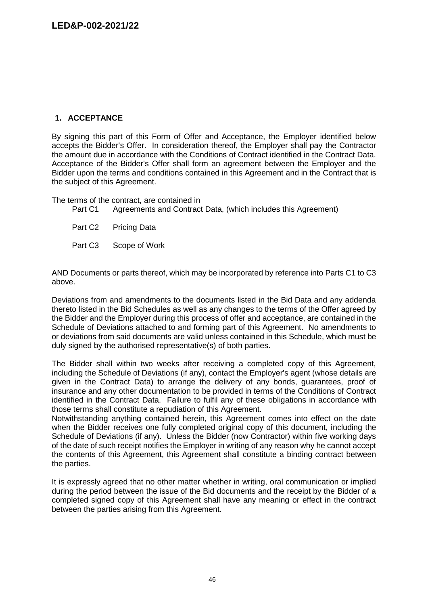# **1. ACCEPTANCE**

By signing this part of this Form of Offer and Acceptance, the Employer identified below accepts the Bidder's Offer. In consideration thereof, the Employer shall pay the Contractor the amount due in accordance with the Conditions of Contract identified in the Contract Data. Acceptance of the Bidder's Offer shall form an agreement between the Employer and the Bidder upon the terms and conditions contained in this Agreement and in the Contract that is the subject of this Agreement.

The terms of the contract, are contained in<br>Part C1 Agreements and Contract

Agreements and Contract Data, (which includes this Agreement)

Part C2 Pricing Data

Part C3 Scope of Work

AND Documents or parts thereof, which may be incorporated by reference into Parts C1 to C3 above.

Deviations from and amendments to the documents listed in the Bid Data and any addenda thereto listed in the Bid Schedules as well as any changes to the terms of the Offer agreed by the Bidder and the Employer during this process of offer and acceptance, are contained in the Schedule of Deviations attached to and forming part of this Agreement. No amendments to or deviations from said documents are valid unless contained in this Schedule, which must be duly signed by the authorised representative(s) of both parties.

The Bidder shall within two weeks after receiving a completed copy of this Agreement, including the Schedule of Deviations (if any), contact the Employer's agent (whose details are given in the Contract Data) to arrange the delivery of any bonds, guarantees, proof of insurance and any other documentation to be provided in terms of the Conditions of Contract identified in the Contract Data. Failure to fulfil any of these obligations in accordance with those terms shall constitute a repudiation of this Agreement.

Notwithstanding anything contained herein, this Agreement comes into effect on the date when the Bidder receives one fully completed original copy of this document, including the Schedule of Deviations (if any). Unless the Bidder (now Contractor) within five working days of the date of such receipt notifies the Employer in writing of any reason why he cannot accept the contents of this Agreement, this Agreement shall constitute a binding contract between the parties.

It is expressly agreed that no other matter whether in writing, oral communication or implied during the period between the issue of the Bid documents and the receipt by the Bidder of a completed signed copy of this Agreement shall have any meaning or effect in the contract between the parties arising from this Agreement.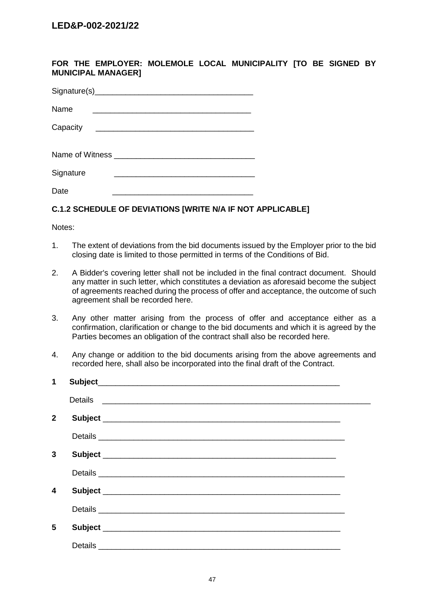**FOR THE EMPLOYER: MOLEMOLE LOCAL MUNICIPALITY [TO BE SIGNED BY MUNICIPAL MANAGER]**

| Name      |  |
|-----------|--|
| Capacity  |  |
|           |  |
| Signature |  |
| Date      |  |

# **C.1.2 SCHEDULE OF DEVIATIONS [WRITE N/A IF NOT APPLICABLE]**

Notes:

- 1. The extent of deviations from the bid documents issued by the Employer prior to the bid closing date is limited to those permitted in terms of the Conditions of Bid.
- 2. A Bidder's covering letter shall not be included in the final contract document. Should any matter in such letter, which constitutes a deviation as aforesaid become the subject of agreements reached during the process of offer and acceptance, the outcome of such agreement shall be recorded here.
- 3. Any other matter arising from the process of offer and acceptance either as a confirmation, clarification or change to the bid documents and which it is agreed by the Parties becomes an obligation of the contract shall also be recorded here.
- 4. Any change or addition to the bid documents arising from the above agreements and recorded here, shall also be incorporated into the final draft of the Contract.

| $\mathbf 1$  |                                                                             |  |
|--------------|-----------------------------------------------------------------------------|--|
|              | Details<br><u> 1980 - Andrea Stadt Britain, amerikan bestean ingilandi.</u> |  |
| $\mathbf{2}$ |                                                                             |  |
|              |                                                                             |  |
| 3            |                                                                             |  |
|              |                                                                             |  |
| 4            |                                                                             |  |
|              |                                                                             |  |
| 5            |                                                                             |  |
|              |                                                                             |  |